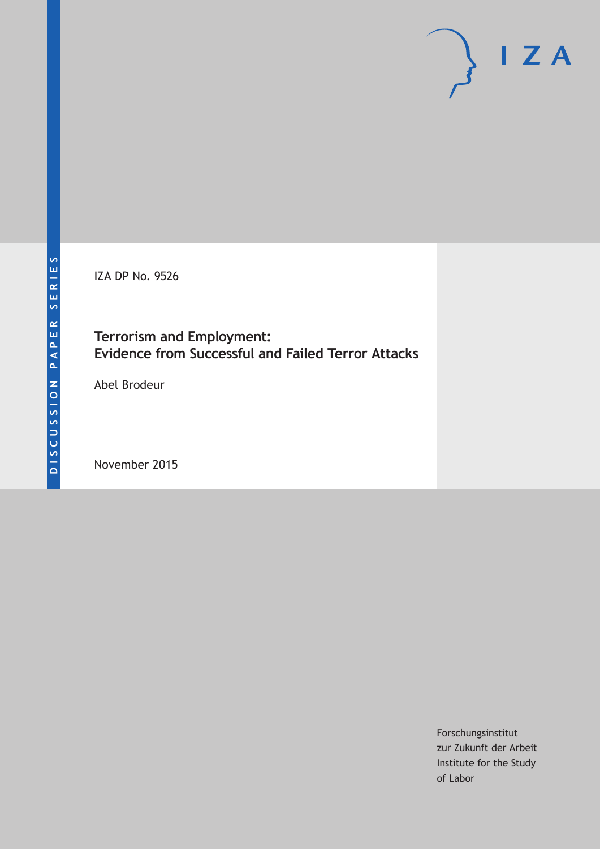IZA DP No. 9526

### **Terrorism and Employment: Evidence from Successful and Failed Terror Attacks**

Abel Brodeur

November 2015

Forschungsinstitut zur Zukunft der Arbeit Institute for the Study of Labor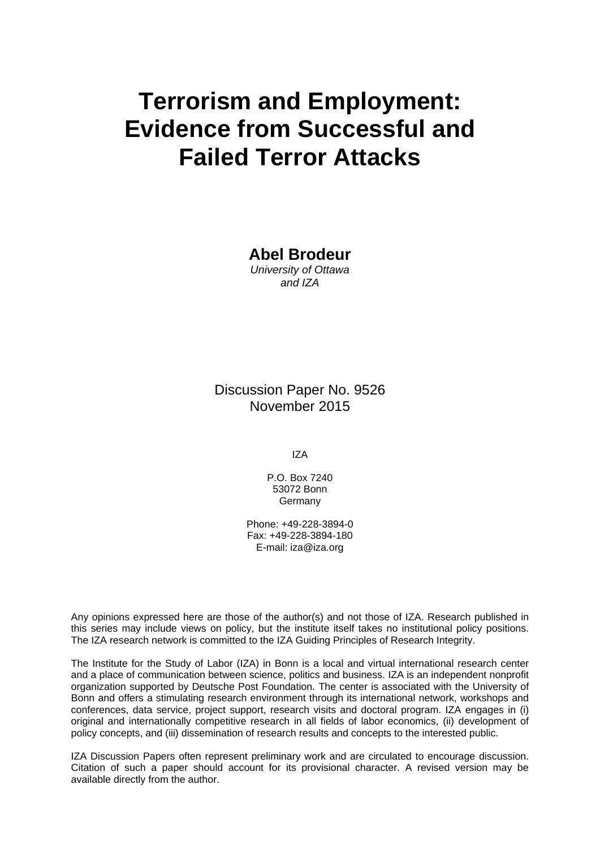# **Terrorism and Employment: Evidence from Successful and Failed Terror Attacks**

**Abel Brodeur**  *University of Ottawa and IZA* 

Discussion Paper No. 9526 November 2015

IZA

P.O. Box 7240 53072 Bonn **Germany** 

Phone: +49-228-3894-0 Fax: +49-228-3894-180 E-mail: iza@iza.org

Any opinions expressed here are those of the author(s) and not those of IZA. Research published in this series may include views on policy, but the institute itself takes no institutional policy positions. The IZA research network is committed to the IZA Guiding Principles of Research Integrity.

The Institute for the Study of Labor (IZA) in Bonn is a local and virtual international research center and a place of communication between science, politics and business. IZA is an independent nonprofit organization supported by Deutsche Post Foundation. The center is associated with the University of Bonn and offers a stimulating research environment through its international network, workshops and conferences, data service, project support, research visits and doctoral program. IZA engages in (i) original and internationally competitive research in all fields of labor economics, (ii) development of policy concepts, and (iii) dissemination of research results and concepts to the interested public.

IZA Discussion Papers often represent preliminary work and are circulated to encourage discussion. Citation of such a paper should account for its provisional character. A revised version may be available directly from the author.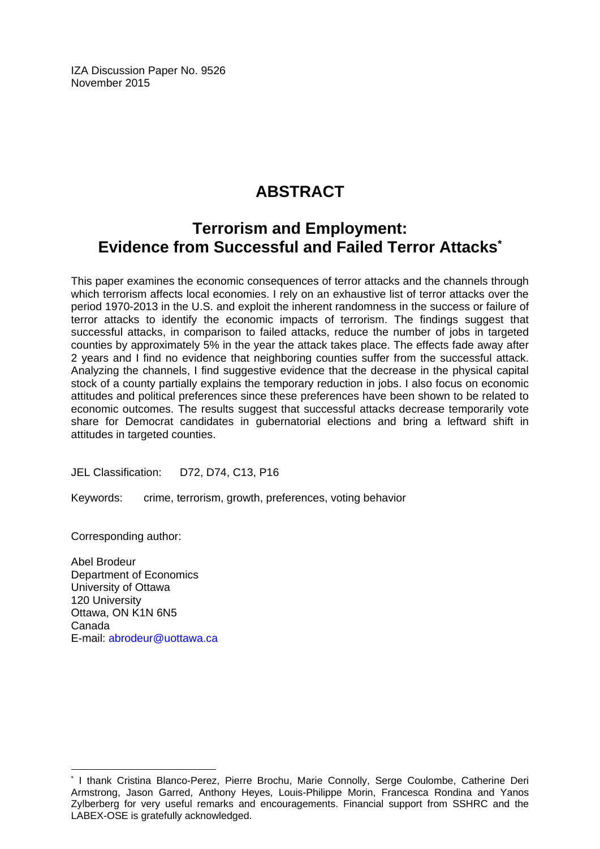IZA Discussion Paper No. 9526 November 2015

## **ABSTRACT**

### **Terrorism and Employment: Evidence from Successful and Failed Terror Attacks\***

This paper examines the economic consequences of terror attacks and the channels through which terrorism affects local economies. I rely on an exhaustive list of terror attacks over the period 1970-2013 in the U.S. and exploit the inherent randomness in the success or failure of terror attacks to identify the economic impacts of terrorism. The findings suggest that successful attacks, in comparison to failed attacks, reduce the number of jobs in targeted counties by approximately 5% in the year the attack takes place. The effects fade away after 2 years and I find no evidence that neighboring counties suffer from the successful attack. Analyzing the channels, I find suggestive evidence that the decrease in the physical capital stock of a county partially explains the temporary reduction in jobs. I also focus on economic attitudes and political preferences since these preferences have been shown to be related to economic outcomes. The results suggest that successful attacks decrease temporarily vote share for Democrat candidates in gubernatorial elections and bring a leftward shift in attitudes in targeted counties.

JEL Classification: D72, D74, C13, P16

Keywords: crime, terrorism, growth, preferences, voting behavior

Corresponding author:

 $\overline{\phantom{a}}$ 

Abel Brodeur Department of Economics University of Ottawa 120 University Ottawa, ON K1N 6N5 Canada E-mail: abrodeur@uottawa.ca

<sup>\*</sup> I thank Cristina Blanco-Perez, Pierre Brochu, Marie Connolly, Serge Coulombe, Catherine Deri Armstrong, Jason Garred, Anthony Heyes, Louis-Philippe Morin, Francesca Rondina and Yanos Zylberberg for very useful remarks and encouragements. Financial support from SSHRC and the LABEX-OSE is gratefully acknowledged.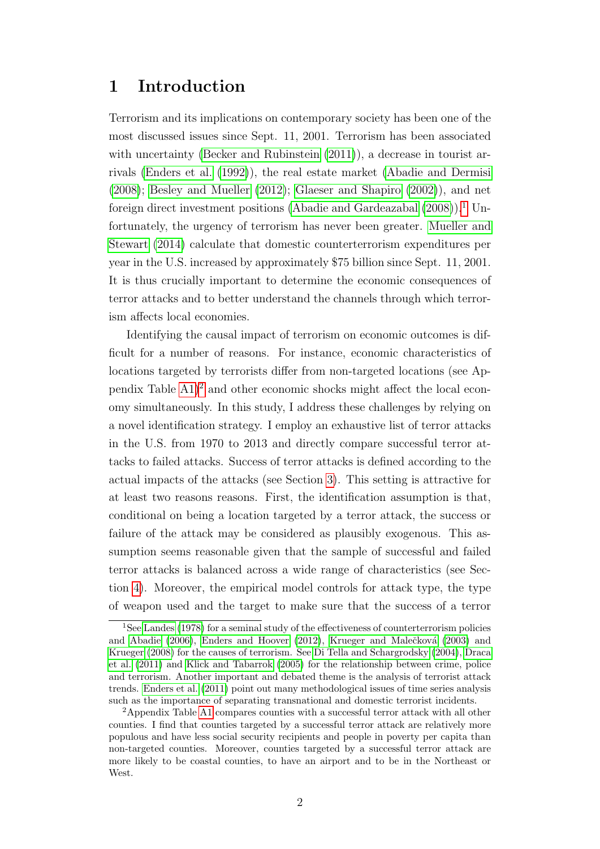### 1 Introduction

Terrorism and its implications on contemporary society has been one of the most discussed issues since Sept. 11, 2001. Terrorism has been associated with uncertainty [\(Becker and Rubinstein](#page-27-0)  $(2011)$ ), a decrease in tourist arrivals [\(Enders et al.](#page-28-0) [\(1992\)](#page-28-0)), the real estate market [\(Abadie and Dermisi](#page-27-1) [\(2008\)](#page-27-1); [Besley and Mueller](#page-28-1) [\(2012\)](#page-28-1); [Glaeser and Shapiro](#page-29-0) [\(2002\)](#page-29-0)), and net foreign direct investment positions [\(Abadie and Gardeazabal](#page-27-2)  $(2008)$ ).<sup>[1](#page-3-0)</sup> Unfortunately, the urgency of terrorism has never been greater. [Mueller and](#page-30-0) [Stewart](#page-30-0) [\(2014\)](#page-30-0) calculate that domestic counterterrorism expenditures per year in the U.S. increased by approximately \$75 billion since Sept. 11, 2001. It is thus crucially important to determine the economic consequences of terror attacks and to better understand the channels through which terrorism affects local economies.

Identifying the causal impact of terrorism on economic outcomes is difficult for a number of reasons. For instance, economic characteristics of locations targeted by terrorists differ from non-targeted locations (see Appendix Table  $(A1)^2$  $(A1)^2$  and other economic shocks might affect the local economy simultaneously. In this study, I address these challenges by relying on a novel identification strategy. I employ an exhaustive list of terror attacks in the U.S. from 1970 to 2013 and directly compare successful terror attacks to failed attacks. Success of terror attacks is defined according to the actual impacts of the attacks (see Section [3\)](#page-9-0). This setting is attractive for at least two reasons reasons. First, the identification assumption is that, conditional on being a location targeted by a terror attack, the success or failure of the attack may be considered as plausibly exogenous. This assumption seems reasonable given that the sample of successful and failed terror attacks is balanced across a wide range of characteristics (see Section [4\)](#page-14-0). Moreover, the empirical model controls for attack type, the type of weapon used and the target to make sure that the success of a terror

<span id="page-3-0"></span><sup>&</sup>lt;sup>1</sup>See [Landes](#page-29-1) [\(1978\)](#page-29-1) for a seminal study of the effectiveness of counterterrorism policies and [Abadie](#page-27-3) [\(2006\)](#page-27-3), [Enders and Hoover](#page-28-2) [\(2012\)](#page-28-2), Krueger and Malečková [\(2003\)](#page-29-2) and [Krueger](#page-29-3) [\(2008\)](#page-29-3) for the causes of terrorism. See [Di Tella and Schargrodsky](#page-28-3) [\(2004\)](#page-28-3), [Draca](#page-28-4) [et al.](#page-28-4) [\(2011\)](#page-28-4) and [Klick and Tabarrok](#page-29-4) [\(2005\)](#page-29-4) for the relationship between crime, police and terrorism. Another important and debated theme is the analysis of terrorist attack trends. [Enders et al.](#page-28-5) [\(2011\)](#page-28-5) point out many methodological issues of time series analysis such as the importance of separating transnational and domestic terrorist incidents.

<span id="page-3-1"></span><sup>&</sup>lt;sup>2</sup>Appendix Table [A1](#page-44-0) compares counties with a successful terror attack with all other counties. I find that counties targeted by a successful terror attack are relatively more populous and have less social security recipients and people in poverty per capita than non-targeted counties. Moreover, counties targeted by a successful terror attack are more likely to be coastal counties, to have an airport and to be in the Northeast or West.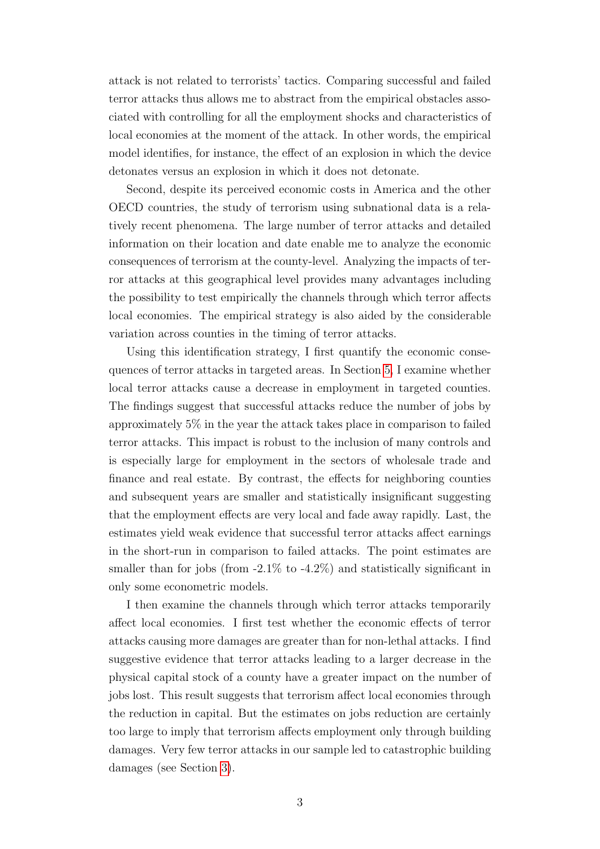attack is not related to terrorists' tactics. Comparing successful and failed terror attacks thus allows me to abstract from the empirical obstacles associated with controlling for all the employment shocks and characteristics of local economies at the moment of the attack. In other words, the empirical model identifies, for instance, the effect of an explosion in which the device detonates versus an explosion in which it does not detonate.

Second, despite its perceived economic costs in America and the other OECD countries, the study of terrorism using subnational data is a relatively recent phenomena. The large number of terror attacks and detailed information on their location and date enable me to analyze the economic consequences of terrorism at the county-level. Analyzing the impacts of terror attacks at this geographical level provides many advantages including the possibility to test empirically the channels through which terror affects local economies. The empirical strategy is also aided by the considerable variation across counties in the timing of terror attacks.

Using this identification strategy, I first quantify the economic consequences of terror attacks in targeted areas. In Section [5,](#page-18-0) I examine whether local terror attacks cause a decrease in employment in targeted counties. The findings suggest that successful attacks reduce the number of jobs by approximately 5% in the year the attack takes place in comparison to failed terror attacks. This impact is robust to the inclusion of many controls and is especially large for employment in the sectors of wholesale trade and finance and real estate. By contrast, the effects for neighboring counties and subsequent years are smaller and statistically insignificant suggesting that the employment effects are very local and fade away rapidly. Last, the estimates yield weak evidence that successful terror attacks affect earnings in the short-run in comparison to failed attacks. The point estimates are smaller than for jobs (from  $-2.1\%$  to  $-4.2\%$ ) and statistically significant in only some econometric models.

I then examine the channels through which terror attacks temporarily affect local economies. I first test whether the economic effects of terror attacks causing more damages are greater than for non-lethal attacks. I find suggestive evidence that terror attacks leading to a larger decrease in the physical capital stock of a county have a greater impact on the number of jobs lost. This result suggests that terrorism affect local economies through the reduction in capital. But the estimates on jobs reduction are certainly too large to imply that terrorism affects employment only through building damages. Very few terror attacks in our sample led to catastrophic building damages (see Section [3\)](#page-9-0).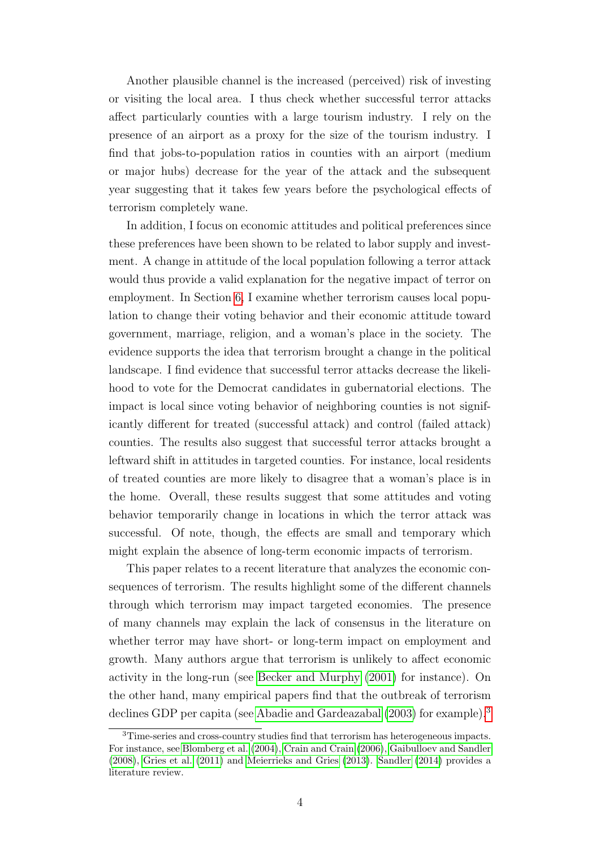Another plausible channel is the increased (perceived) risk of investing or visiting the local area. I thus check whether successful terror attacks affect particularly counties with a large tourism industry. I rely on the presence of an airport as a proxy for the size of the tourism industry. I find that jobs-to-population ratios in counties with an airport (medium or major hubs) decrease for the year of the attack and the subsequent year suggesting that it takes few years before the psychological effects of terrorism completely wane.

In addition, I focus on economic attitudes and political preferences since these preferences have been shown to be related to labor supply and investment. A change in attitude of the local population following a terror attack would thus provide a valid explanation for the negative impact of terror on employment. In Section [6,](#page-21-0) I examine whether terrorism causes local population to change their voting behavior and their economic attitude toward government, marriage, religion, and a woman's place in the society. The evidence supports the idea that terrorism brought a change in the political landscape. I find evidence that successful terror attacks decrease the likelihood to vote for the Democrat candidates in gubernatorial elections. The impact is local since voting behavior of neighboring counties is not significantly different for treated (successful attack) and control (failed attack) counties. The results also suggest that successful terror attacks brought a leftward shift in attitudes in targeted counties. For instance, local residents of treated counties are more likely to disagree that a woman's place is in the home. Overall, these results suggest that some attitudes and voting behavior temporarily change in locations in which the terror attack was successful. Of note, though, the effects are small and temporary which might explain the absence of long-term economic impacts of terrorism.

This paper relates to a recent literature that analyzes the economic consequences of terrorism. The results highlight some of the different channels through which terrorism may impact targeted economies. The presence of many channels may explain the lack of consensus in the literature on whether terror may have short- or long-term impact on employment and growth. Many authors argue that terrorism is unlikely to affect economic activity in the long-run (see [Becker and Murphy](#page-27-4) [\(2001\)](#page-27-4) for instance). On the other hand, many empirical papers find that the outbreak of terrorism declines GDP per capita (see [Abadie and Gardeazabal](#page-27-5) [\(2003\)](#page-27-5) for example).[3](#page-5-0)

<span id="page-5-0"></span><sup>3</sup>Time-series and cross-country studies find that terrorism has heterogeneous impacts. For instance, see [Blomberg et al.](#page-28-6) [\(2004\)](#page-28-6), [Crain and Crain](#page-28-7) [\(2006\)](#page-28-7), [Gaibulloev and Sandler](#page-28-8) [\(2008\)](#page-28-8), [Gries et al.](#page-29-5) [\(2011\)](#page-29-5) and [Meierrieks and Gries](#page-30-1) [\(2013\)](#page-30-1). [Sandler](#page-30-2) [\(2014\)](#page-30-2) provides a literature review.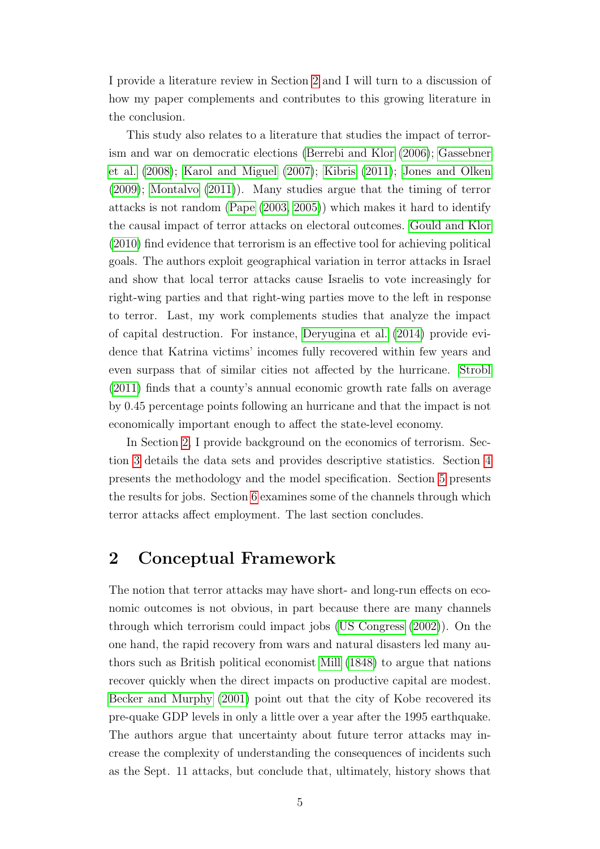I provide a literature review in Section [2](#page-6-0) and I will turn to a discussion of how my paper complements and contributes to this growing literature in the conclusion.

This study also relates to a literature that studies the impact of terrorism and war on democratic elections [\(Berrebi and Klor](#page-27-6) [\(2006\)](#page-27-6); [Gassebner](#page-29-6) [et al.](#page-29-6) [\(2008\)](#page-29-6); [Karol and Miguel](#page-29-7) [\(2007\)](#page-29-7); [Kibris](#page-29-8) [\(2011\)](#page-29-8); [Jones and Olken](#page-29-9) [\(2009\)](#page-29-9); [Montalvo](#page-30-3) [\(2011\)](#page-30-3)). Many studies argue that the timing of terror attacks is not random [\(Pape](#page-30-4) [\(2003,](#page-30-4) [2005\)](#page-30-5)) which makes it hard to identify the causal impact of terror attacks on electoral outcomes. [Gould and Klor](#page-29-10) [\(2010\)](#page-29-10) find evidence that terrorism is an effective tool for achieving political goals. The authors exploit geographical variation in terror attacks in Israel and show that local terror attacks cause Israelis to vote increasingly for right-wing parties and that right-wing parties move to the left in response to terror. Last, my work complements studies that analyze the impact of capital destruction. For instance, [Deryugina et al.](#page-28-9) [\(2014\)](#page-28-9) provide evidence that Katrina victims' incomes fully recovered within few years and even surpass that of similar cities not affected by the hurricane. [Strobl](#page-30-6) [\(2011\)](#page-30-6) finds that a county's annual economic growth rate falls on average by 0.45 percentage points following an hurricane and that the impact is not economically important enough to affect the state-level economy.

In Section [2,](#page-6-0) I provide background on the economics of terrorism. Section [3](#page-9-0) details the data sets and provides descriptive statistics. Section [4](#page-14-0) presents the methodology and the model specification. Section [5](#page-18-0) presents the results for jobs. Section [6](#page-21-0) examines some of the channels through which terror attacks affect employment. The last section concludes.

### <span id="page-6-0"></span>2 Conceptual Framework

The notion that terror attacks may have short- and long-run effects on economic outcomes is not obvious, in part because there are many channels through which terrorism could impact jobs [\(US Congress](#page-30-7) [\(2002\)](#page-30-7)). On the one hand, the rapid recovery from wars and natural disasters led many authors such as British political economist [Mill](#page-30-8) [\(1848\)](#page-30-8) to argue that nations recover quickly when the direct impacts on productive capital are modest. [Becker and Murphy](#page-27-4) [\(2001\)](#page-27-4) point out that the city of Kobe recovered its pre-quake GDP levels in only a little over a year after the 1995 earthquake. The authors argue that uncertainty about future terror attacks may increase the complexity of understanding the consequences of incidents such as the Sept. 11 attacks, but conclude that, ultimately, history shows that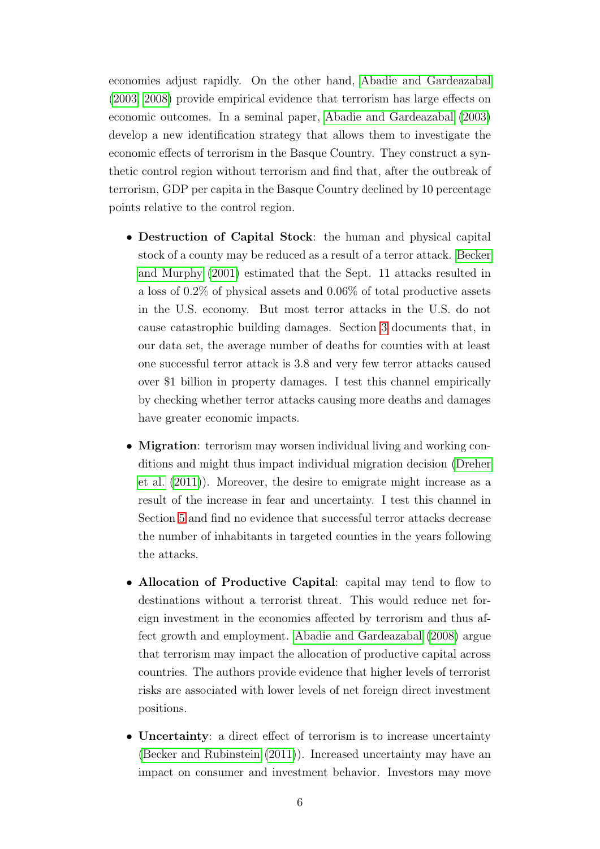economies adjust rapidly. On the other hand, [Abadie and Gardeazabal](#page-27-5) [\(2003,](#page-27-5) [2008\)](#page-27-2) provide empirical evidence that terrorism has large effects on economic outcomes. In a seminal paper, [Abadie and Gardeazabal](#page-27-5) [\(2003\)](#page-27-5) develop a new identification strategy that allows them to investigate the economic effects of terrorism in the Basque Country. They construct a synthetic control region without terrorism and find that, after the outbreak of terrorism, GDP per capita in the Basque Country declined by 10 percentage points relative to the control region.

- Destruction of Capital Stock: the human and physical capital stock of a county may be reduced as a result of a terror attack. [Becker](#page-27-4) [and Murphy](#page-27-4) [\(2001\)](#page-27-4) estimated that the Sept. 11 attacks resulted in a loss of 0.2% of physical assets and 0.06% of total productive assets in the U.S. economy. But most terror attacks in the U.S. do not cause catastrophic building damages. Section [3](#page-9-0) documents that, in our data set, the average number of deaths for counties with at least one successful terror attack is 3.8 and very few terror attacks caused over \$1 billion in property damages. I test this channel empirically by checking whether terror attacks causing more deaths and damages have greater economic impacts.
- Migration: terrorism may worsen individual living and working conditions and might thus impact individual migration decision [\(Dreher](#page-28-10) [et al.](#page-28-10) [\(2011\)](#page-28-10)). Moreover, the desire to emigrate might increase as a result of the increase in fear and uncertainty. I test this channel in Section [5](#page-18-0) and find no evidence that successful terror attacks decrease the number of inhabitants in targeted counties in the years following the attacks.
- Allocation of Productive Capital: capital may tend to flow to destinations without a terrorist threat. This would reduce net foreign investment in the economies affected by terrorism and thus affect growth and employment. [Abadie and Gardeazabal](#page-27-2) [\(2008\)](#page-27-2) argue that terrorism may impact the allocation of productive capital across countries. The authors provide evidence that higher levels of terrorist risks are associated with lower levels of net foreign direct investment positions.
- Uncertainty: a direct effect of terrorism is to increase uncertainty [\(Becker and Rubinstein](#page-27-0) [\(2011\)](#page-27-0)). Increased uncertainty may have an impact on consumer and investment behavior. Investors may move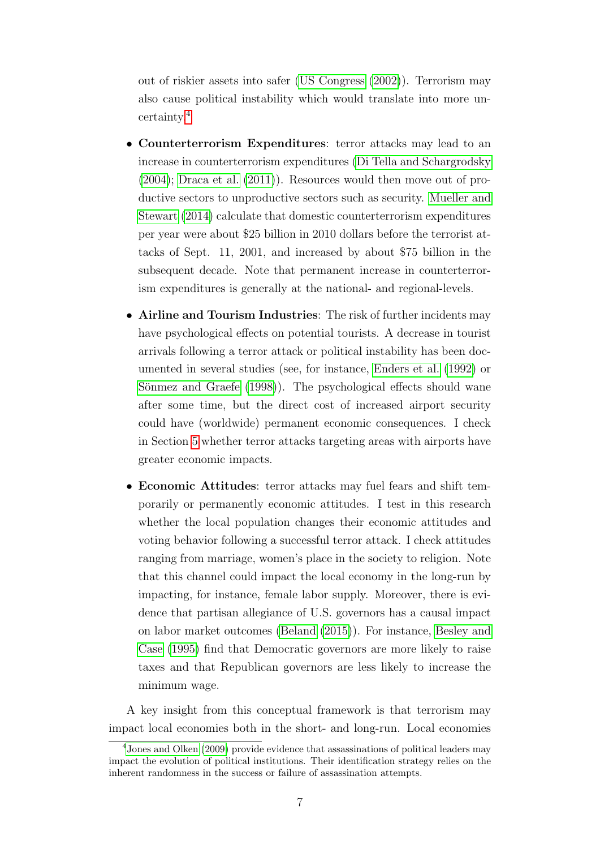out of riskier assets into safer [\(US Congress](#page-30-7) [\(2002\)](#page-30-7)). Terrorism may also cause political instability which would translate into more uncertainty.[4](#page-8-0)

- Counterterrorism Expenditures: terror attacks may lead to an increase in counterterrorism expenditures [\(Di Tella and Schargrodsky](#page-28-3) [\(2004\)](#page-28-3); [Draca et al.](#page-28-4) [\(2011\)](#page-28-4)). Resources would then move out of productive sectors to unproductive sectors such as security. [Mueller and](#page-30-0) [Stewart](#page-30-0) [\(2014\)](#page-30-0) calculate that domestic counterterrorism expenditures per year were about \$25 billion in 2010 dollars before the terrorist attacks of Sept. 11, 2001, and increased by about \$75 billion in the subsequent decade. Note that permanent increase in counterterrorism expenditures is generally at the national- and regional-levels.
- Airline and Tourism Industries: The risk of further incidents may have psychological effects on potential tourists. A decrease in tourist arrivals following a terror attack or political instability has been documented in several studies (see, for instance, [Enders et al.](#page-28-0) [\(1992\)](#page-28-0) or Sönmez and Graefe [\(1998\)](#page-30-9)). The psychological effects should wane after some time, but the direct cost of increased airport security could have (worldwide) permanent economic consequences. I check in Section [5](#page-18-0) whether terror attacks targeting areas with airports have greater economic impacts.
- Economic Attitudes: terror attacks may fuel fears and shift temporarily or permanently economic attitudes. I test in this research whether the local population changes their economic attitudes and voting behavior following a successful terror attack. I check attitudes ranging from marriage, women's place in the society to religion. Note that this channel could impact the local economy in the long-run by impacting, for instance, female labor supply. Moreover, there is evidence that partisan allegiance of U.S. governors has a causal impact on labor market outcomes [\(Beland](#page-27-7) [\(2015\)](#page-27-7)). For instance, [Besley and](#page-27-8) [Case](#page-27-8) [\(1995\)](#page-27-8) find that Democratic governors are more likely to raise taxes and that Republican governors are less likely to increase the minimum wage.

A key insight from this conceptual framework is that terrorism may impact local economies both in the short- and long-run. Local economies

<span id="page-8-0"></span><sup>4</sup>[Jones and Olken](#page-29-9) [\(2009\)](#page-29-9) provide evidence that assassinations of political leaders may impact the evolution of political institutions. Their identification strategy relies on the inherent randomness in the success or failure of assassination attempts.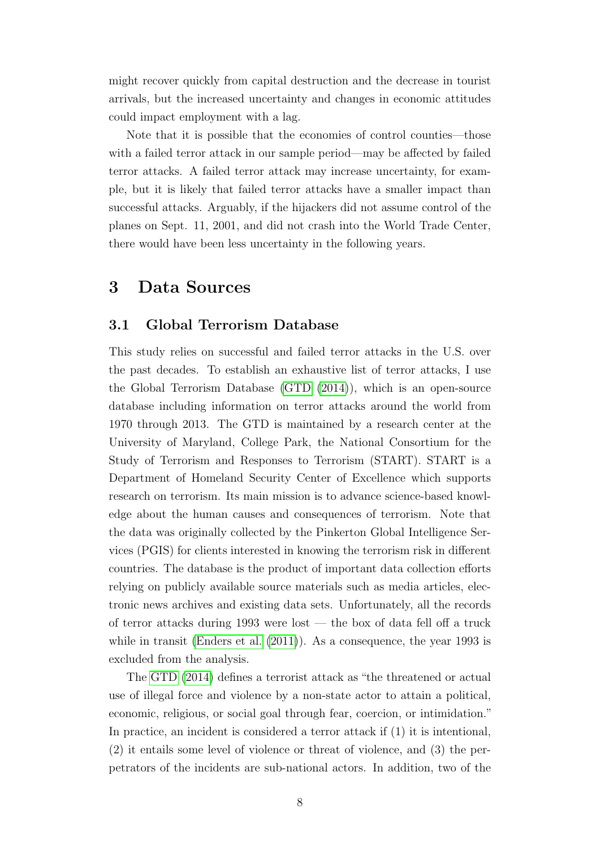might recover quickly from capital destruction and the decrease in tourist arrivals, but the increased uncertainty and changes in economic attitudes could impact employment with a lag.

Note that it is possible that the economies of control counties—those with a failed terror attack in our sample period—may be affected by failed terror attacks. A failed terror attack may increase uncertainty, for example, but it is likely that failed terror attacks have a smaller impact than successful attacks. Arguably, if the hijackers did not assume control of the planes on Sept. 11, 2001, and did not crash into the World Trade Center, there would have been less uncertainty in the following years.

### <span id="page-9-0"></span>3 Data Sources

#### 3.1 Global Terrorism Database

This study relies on successful and failed terror attacks in the U.S. over the past decades. To establish an exhaustive list of terror attacks, I use the Global Terrorism Database [\(GTD](#page-29-11) [\(2014\)](#page-29-11)), which is an open-source database including information on terror attacks around the world from 1970 through 2013. The GTD is maintained by a research center at the University of Maryland, College Park, the National Consortium for the Study of Terrorism and Responses to Terrorism (START). START is a Department of Homeland Security Center of Excellence which supports research on terrorism. Its main mission is to advance science-based knowledge about the human causes and consequences of terrorism. Note that the data was originally collected by the Pinkerton Global Intelligence Services (PGIS) for clients interested in knowing the terrorism risk in different countries. The database is the product of important data collection efforts relying on publicly available source materials such as media articles, electronic news archives and existing data sets. Unfortunately, all the records of terror attacks during 1993 were lost — the box of data fell off a truck while in transit [\(Enders et al.](#page-28-5)  $(2011)$ ). As a consequence, the year 1993 is excluded from the analysis.

The [GTD](#page-29-11) [\(2014\)](#page-29-11) defines a terrorist attack as "the threatened or actual use of illegal force and violence by a non-state actor to attain a political, economic, religious, or social goal through fear, coercion, or intimidation." In practice, an incident is considered a terror attack if (1) it is intentional, (2) it entails some level of violence or threat of violence, and (3) the perpetrators of the incidents are sub-national actors. In addition, two of the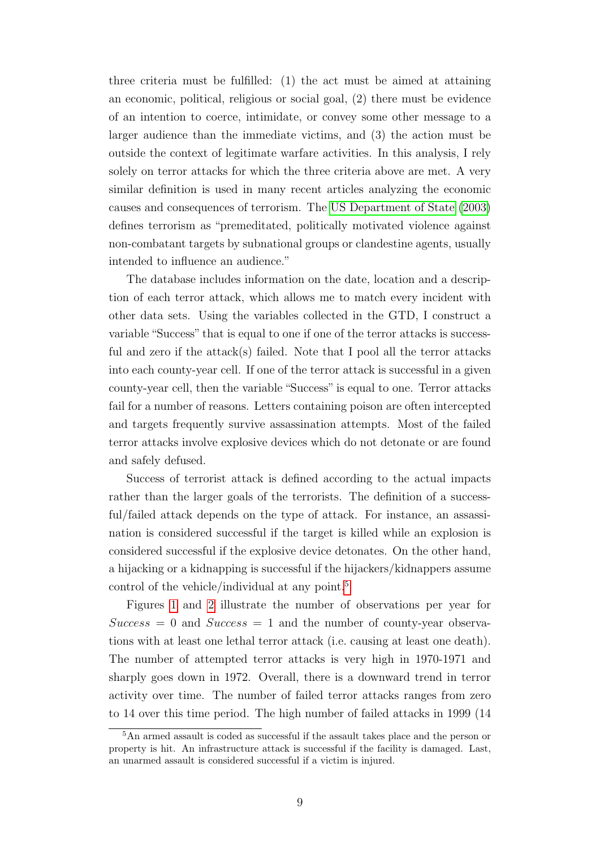three criteria must be fulfilled: (1) the act must be aimed at attaining an economic, political, religious or social goal, (2) there must be evidence of an intention to coerce, intimidate, or convey some other message to a larger audience than the immediate victims, and (3) the action must be outside the context of legitimate warfare activities. In this analysis, I rely solely on terror attacks for which the three criteria above are met. A very similar definition is used in many recent articles analyzing the economic causes and consequences of terrorism. The [US Department of State](#page-30-10) [\(2003\)](#page-30-10) defines terrorism as "premeditated, politically motivated violence against non-combatant targets by subnational groups or clandestine agents, usually intended to influence an audience."

The database includes information on the date, location and a description of each terror attack, which allows me to match every incident with other data sets. Using the variables collected in the GTD, I construct a variable "Success" that is equal to one if one of the terror attacks is successful and zero if the attack(s) failed. Note that I pool all the terror attacks into each county-year cell. If one of the terror attack is successful in a given county-year cell, then the variable "Success" is equal to one. Terror attacks fail for a number of reasons. Letters containing poison are often intercepted and targets frequently survive assassination attempts. Most of the failed terror attacks involve explosive devices which do not detonate or are found and safely defused.

Success of terrorist attack is defined according to the actual impacts rather than the larger goals of the terrorists. The definition of a successful/failed attack depends on the type of attack. For instance, an assassination is considered successful if the target is killed while an explosion is considered successful if the explosive device detonates. On the other hand, a hijacking or a kidnapping is successful if the hijackers/kidnappers assume control of the vehicle/individual at any point.[5](#page-10-0)

Figures [1](#page-31-0) and [2](#page-31-1) illustrate the number of observations per year for  $Success = 0$  and  $Success = 1$  and the number of county-year observations with at least one lethal terror attack (i.e. causing at least one death). The number of attempted terror attacks is very high in 1970-1971 and sharply goes down in 1972. Overall, there is a downward trend in terror activity over time. The number of failed terror attacks ranges from zero to 14 over this time period. The high number of failed attacks in 1999 (14

<span id="page-10-0"></span><sup>&</sup>lt;sup>5</sup>An armed assault is coded as successful if the assault takes place and the person or property is hit. An infrastructure attack is successful if the facility is damaged. Last, an unarmed assault is considered successful if a victim is injured.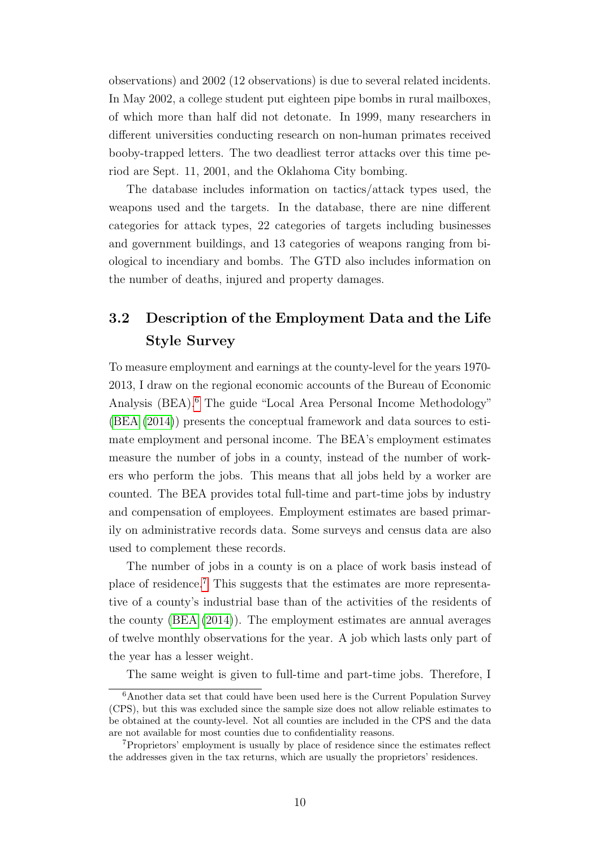observations) and 2002 (12 observations) is due to several related incidents. In May 2002, a college student put eighteen pipe bombs in rural mailboxes, of which more than half did not detonate. In 1999, many researchers in different universities conducting research on non-human primates received booby-trapped letters. The two deadliest terror attacks over this time period are Sept. 11, 2001, and the Oklahoma City bombing.

The database includes information on tactics/attack types used, the weapons used and the targets. In the database, there are nine different categories for attack types, 22 categories of targets including businesses and government buildings, and 13 categories of weapons ranging from biological to incendiary and bombs. The GTD also includes information on the number of deaths, injured and property damages.

### 3.2 Description of the Employment Data and the Life Style Survey

To measure employment and earnings at the county-level for the years 1970- 2013, I draw on the regional economic accounts of the Bureau of Economic Analysis (BEA).[6](#page-11-0) The guide "Local Area Personal Income Methodology" [\(BEA](#page-27-9) [\(2014\)](#page-27-9)) presents the conceptual framework and data sources to estimate employment and personal income. The BEA's employment estimates measure the number of jobs in a county, instead of the number of workers who perform the jobs. This means that all jobs held by a worker are counted. The BEA provides total full-time and part-time jobs by industry and compensation of employees. Employment estimates are based primarily on administrative records data. Some surveys and census data are also used to complement these records.

The number of jobs in a county is on a place of work basis instead of place of residence.[7](#page-11-1) This suggests that the estimates are more representative of a county's industrial base than of the activities of the residents of the county [\(BEA](#page-27-9) [\(2014\)](#page-27-9)). The employment estimates are annual averages of twelve monthly observations for the year. A job which lasts only part of the year has a lesser weight.

<span id="page-11-0"></span>The same weight is given to full-time and part-time jobs. Therefore, I

<sup>6</sup>Another data set that could have been used here is the Current Population Survey (CPS), but this was excluded since the sample size does not allow reliable estimates to be obtained at the county-level. Not all counties are included in the CPS and the data are not available for most counties due to confidentiality reasons.

<span id="page-11-1"></span><sup>7</sup>Proprietors' employment is usually by place of residence since the estimates reflect the addresses given in the tax returns, which are usually the proprietors' residences.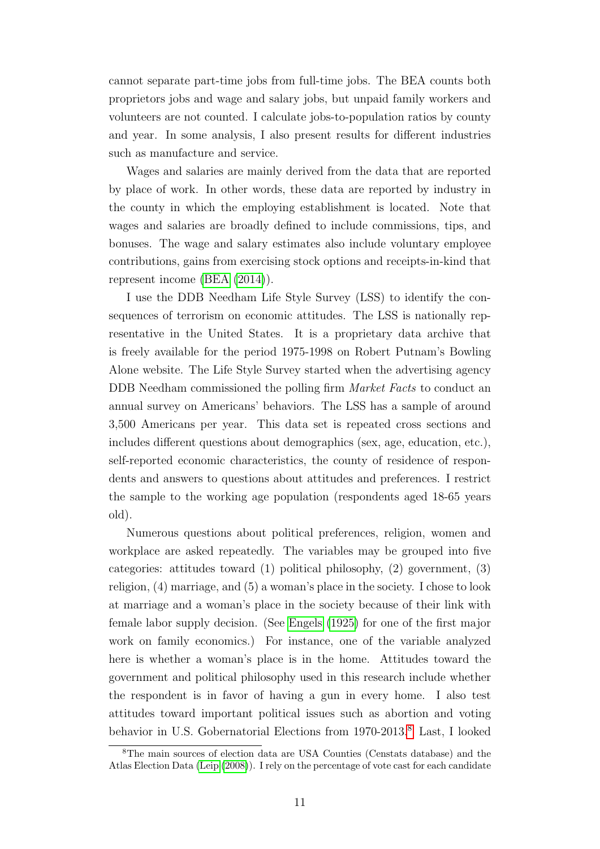cannot separate part-time jobs from full-time jobs. The BEA counts both proprietors jobs and wage and salary jobs, but unpaid family workers and volunteers are not counted. I calculate jobs-to-population ratios by county and year. In some analysis, I also present results for different industries such as manufacture and service.

Wages and salaries are mainly derived from the data that are reported by place of work. In other words, these data are reported by industry in the county in which the employing establishment is located. Note that wages and salaries are broadly defined to include commissions, tips, and bonuses. The wage and salary estimates also include voluntary employee contributions, gains from exercising stock options and receipts-in-kind that represent income [\(BEA](#page-27-9) [\(2014\)](#page-27-9)).

I use the DDB Needham Life Style Survey (LSS) to identify the consequences of terrorism on economic attitudes. The LSS is nationally representative in the United States. It is a proprietary data archive that is freely available for the period 1975-1998 on Robert Putnam's Bowling Alone website. The Life Style Survey started when the advertising agency DDB Needham commissioned the polling firm *Market Facts* to conduct an annual survey on Americans' behaviors. The LSS has a sample of around 3,500 Americans per year. This data set is repeated cross sections and includes different questions about demographics (sex, age, education, etc.), self-reported economic characteristics, the county of residence of respondents and answers to questions about attitudes and preferences. I restrict the sample to the working age population (respondents aged 18-65 years old).

Numerous questions about political preferences, religion, women and workplace are asked repeatedly. The variables may be grouped into five categories: attitudes toward (1) political philosophy, (2) government, (3) religion, (4) marriage, and (5) a woman's place in the society. I chose to look at marriage and a woman's place in the society because of their link with female labor supply decision. (See [Engels](#page-28-11) [\(1925\)](#page-28-11) for one of the first major work on family economics.) For instance, one of the variable analyzed here is whether a woman's place is in the home. Attitudes toward the government and political philosophy used in this research include whether the respondent is in favor of having a gun in every home. I also test attitudes toward important political issues such as abortion and voting behavior in U.S. Gobernatorial Elections from 1970-2013.<sup>[8](#page-12-0)</sup> Last, I looked

<span id="page-12-0"></span><sup>8</sup>The main sources of election data are USA Counties (Censtats database) and the Atlas Election Data [\(Leip](#page-29-12) [\(2008\)](#page-29-12)). I rely on the percentage of vote cast for each candidate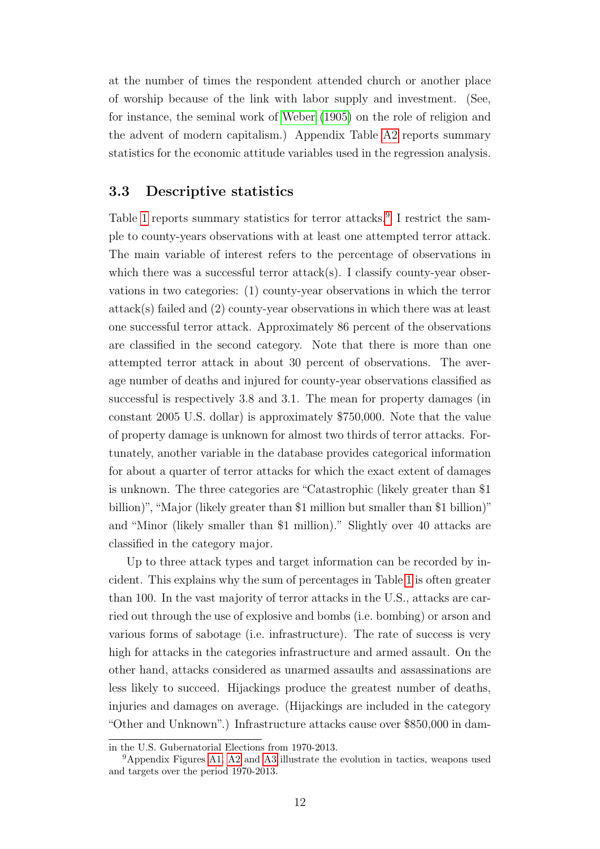at the number of times the respondent attended church or another place of worship because of the link with labor supply and investment. (See, for instance, the seminal work of [Weber](#page-30-11) [\(1905\)](#page-30-11) on the role of religion and the advent of modern capitalism.) Appendix Table [A2](#page-45-0) reports summary statistics for the economic attitude variables used in the regression analysis.

#### 3.3 Descriptive statistics

Table [1](#page-32-0) reports summary statistics for terror attacks.<sup>[9](#page-13-0)</sup> I restrict the sample to county-years observations with at least one attempted terror attack. The main variable of interest refers to the percentage of observations in which there was a successful terror attack(s). I classify county-year observations in two categories: (1) county-year observations in which the terror attack(s) failed and (2) county-year observations in which there was at least one successful terror attack. Approximately 86 percent of the observations are classified in the second category. Note that there is more than one attempted terror attack in about 30 percent of observations. The average number of deaths and injured for county-year observations classified as successful is respectively 3.8 and 3.1. The mean for property damages (in constant 2005 U.S. dollar) is approximately \$750,000. Note that the value of property damage is unknown for almost two thirds of terror attacks. Fortunately, another variable in the database provides categorical information for about a quarter of terror attacks for which the exact extent of damages is unknown. The three categories are "Catastrophic (likely greater than \$1 billion)", "Major (likely greater than \$1 million but smaller than \$1 billion)" and "Minor (likely smaller than \$1 million)." Slightly over 40 attacks are classified in the category major.

Up to three attack types and target information can be recorded by incident. This explains why the sum of percentages in Table [1](#page-32-0) is often greater than 100. In the vast majority of terror attacks in the U.S., attacks are carried out through the use of explosive and bombs (i.e. bombing) or arson and various forms of sabotage (i.e. infrastructure). The rate of success is very high for attacks in the categories infrastructure and armed assault. On the other hand, attacks considered as unarmed assaults and assassinations are less likely to succeed. Hijackings produce the greatest number of deaths, injuries and damages on average. (Hijackings are included in the category "Other and Unknown".) Infrastructure attacks cause over \$850,000 in dam-

in the U.S. Gubernatorial Elections from 1970-2013.

<span id="page-13-0"></span><sup>&</sup>lt;sup>9</sup>Appendix Figures [A1,](#page-42-0) [A2](#page-43-0) and [A3](#page-43-1) illustrate the evolution in tactics, weapons used and targets over the period 1970-2013.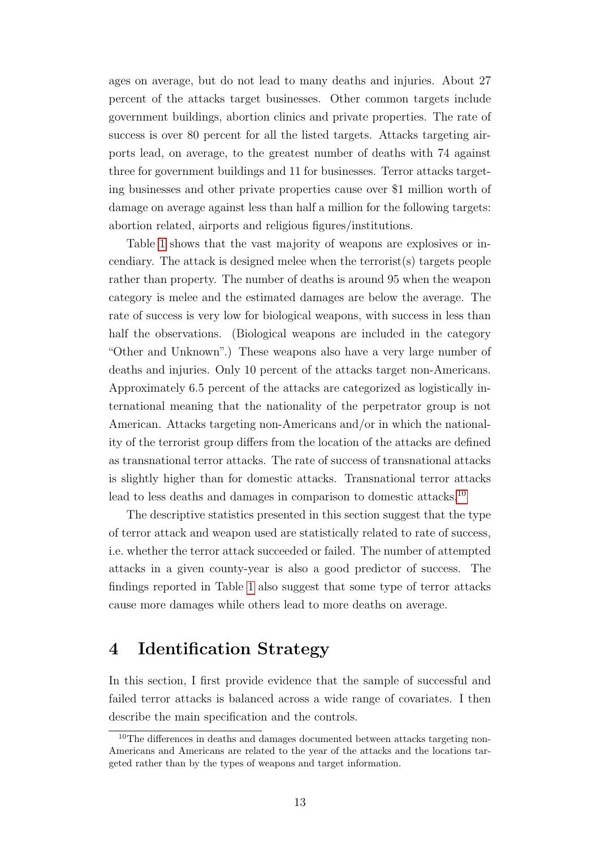ages on average, but do not lead to many deaths and injuries. About 27 percent of the attacks target businesses. Other common targets include government buildings, abortion clinics and private properties. The rate of success is over 80 percent for all the listed targets. Attacks targeting airports lead, on average, to the greatest number of deaths with 74 against three for government buildings and 11 for businesses. Terror attacks targeting businesses and other private properties cause over \$1 million worth of damage on average against less than half a million for the following targets: abortion related, airports and religious figures/institutions.

Table [1](#page-32-0) shows that the vast majority of weapons are explosives or incendiary. The attack is designed melee when the terrorist(s) targets people rather than property. The number of deaths is around 95 when the weapon category is melee and the estimated damages are below the average. The rate of success is very low for biological weapons, with success in less than half the observations. (Biological weapons are included in the category "Other and Unknown".) These weapons also have a very large number of deaths and injuries. Only 10 percent of the attacks target non-Americans. Approximately 6.5 percent of the attacks are categorized as logistically international meaning that the nationality of the perpetrator group is not American. Attacks targeting non-Americans and/or in which the nationality of the terrorist group differs from the location of the attacks are defined as transnational terror attacks. The rate of success of transnational attacks is slightly higher than for domestic attacks. Transnational terror attacks lead to less deaths and damages in comparison to domestic attacks.<sup>[10](#page-14-1)</sup>

The descriptive statistics presented in this section suggest that the type of terror attack and weapon used are statistically related to rate of success, i.e. whether the terror attack succeeded or failed. The number of attempted attacks in a given county-year is also a good predictor of success. The findings reported in Table [1](#page-32-0) also suggest that some type of terror attacks cause more damages while others lead to more deaths on average.

### <span id="page-14-0"></span>4 Identification Strategy

In this section, I first provide evidence that the sample of successful and failed terror attacks is balanced across a wide range of covariates. I then describe the main specification and the controls.

<span id="page-14-1"></span><sup>&</sup>lt;sup>10</sup>The differences in deaths and damages documented between attacks targeting non-Americans and Americans are related to the year of the attacks and the locations targeted rather than by the types of weapons and target information.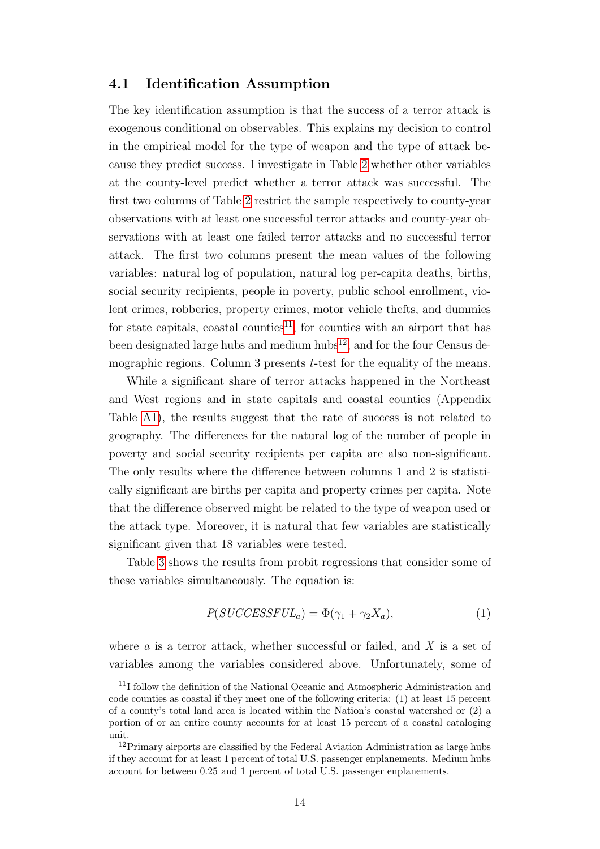#### 4.1 Identification Assumption

The key identification assumption is that the success of a terror attack is exogenous conditional on observables. This explains my decision to control in the empirical model for the type of weapon and the type of attack because they predict success. I investigate in Table [2](#page-33-0) whether other variables at the county-level predict whether a terror attack was successful. The first two columns of Table [2](#page-33-0) restrict the sample respectively to county-year observations with at least one successful terror attacks and county-year observations with at least one failed terror attacks and no successful terror attack. The first two columns present the mean values of the following variables: natural log of population, natural log per-capita deaths, births, social security recipients, people in poverty, public school enrollment, violent crimes, robberies, property crimes, motor vehicle thefts, and dummies for state capitals, coastal counties<sup>[11](#page-15-0)</sup>, for counties with an airport that has been designated large hubs and medium  $\text{hubs}^{12}$  $\text{hubs}^{12}$  $\text{hubs}^{12}$ , and for the four Census demographic regions. Column 3 presents *t*-test for the equality of the means.

While a significant share of terror attacks happened in the Northeast and West regions and in state capitals and coastal counties (Appendix Table [A1\)](#page-44-0), the results suggest that the rate of success is not related to geography. The differences for the natural log of the number of people in poverty and social security recipients per capita are also non-significant. The only results where the difference between columns 1 and 2 is statistically significant are births per capita and property crimes per capita. Note that the difference observed might be related to the type of weapon used or the attack type. Moreover, it is natural that few variables are statistically significant given that 18 variables were tested.

Table [3](#page-34-0) shows the results from probit regressions that consider some of these variables simultaneously. The equation is:

$$
P(SUCCESSEUL_a) = \Phi(\gamma_1 + \gamma_2 X_a), \tag{1}
$$

where  $a$  is a terror attack, whether successful or failed, and  $X$  is a set of variables among the variables considered above. Unfortunately, some of

<span id="page-15-0"></span><sup>11</sup>I follow the definition of the National Oceanic and Atmospheric Administration and code counties as coastal if they meet one of the following criteria: (1) at least 15 percent of a county's total land area is located within the Nation's coastal watershed or (2) a portion of or an entire county accounts for at least 15 percent of a coastal cataloging unit.

<span id="page-15-1"></span><sup>&</sup>lt;sup>12</sup>Primary airports are classified by the Federal Aviation Administration as large hubs if they account for at least 1 percent of total U.S. passenger enplanements. Medium hubs account for between 0.25 and 1 percent of total U.S. passenger enplanements.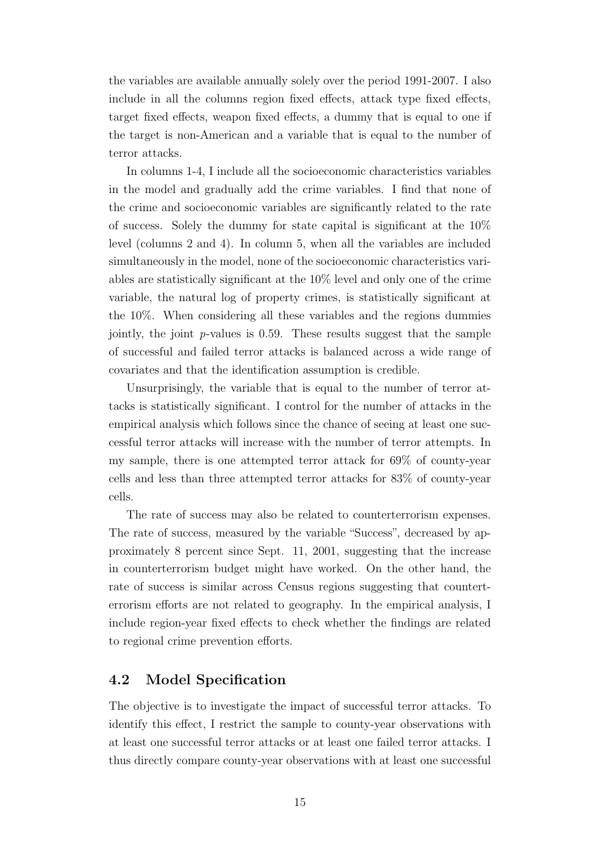the variables are available annually solely over the period 1991-2007. I also include in all the columns region fixed effects, attack type fixed effects, target fixed effects, weapon fixed effects, a dummy that is equal to one if the target is non-American and a variable that is equal to the number of terror attacks.

In columns 1-4, I include all the socioeconomic characteristics variables in the model and gradually add the crime variables. I find that none of the crime and socioeconomic variables are significantly related to the rate of success. Solely the dummy for state capital is significant at the 10% level (columns 2 and 4). In column 5, when all the variables are included simultaneously in the model, none of the socioeconomic characteristics variables are statistically significant at the 10% level and only one of the crime variable, the natural log of property crimes, is statistically significant at the 10%. When considering all these variables and the regions dummies jointly, the joint  $p$ -values is 0.59. These results suggest that the sample of successful and failed terror attacks is balanced across a wide range of covariates and that the identification assumption is credible.

Unsurprisingly, the variable that is equal to the number of terror attacks is statistically significant. I control for the number of attacks in the empirical analysis which follows since the chance of seeing at least one successful terror attacks will increase with the number of terror attempts. In my sample, there is one attempted terror attack for 69% of county-year cells and less than three attempted terror attacks for 83% of county-year cells.

The rate of success may also be related to counterterrorism expenses. The rate of success, measured by the variable "Success", decreased by approximately 8 percent since Sept. 11, 2001, suggesting that the increase in counterterrorism budget might have worked. On the other hand, the rate of success is similar across Census regions suggesting that counterterrorism efforts are not related to geography. In the empirical analysis, I include region-year fixed effects to check whether the findings are related to regional crime prevention efforts.

#### 4.2 Model Specification

The objective is to investigate the impact of successful terror attacks. To identify this effect, I restrict the sample to county-year observations with at least one successful terror attacks or at least one failed terror attacks. I thus directly compare county-year observations with at least one successful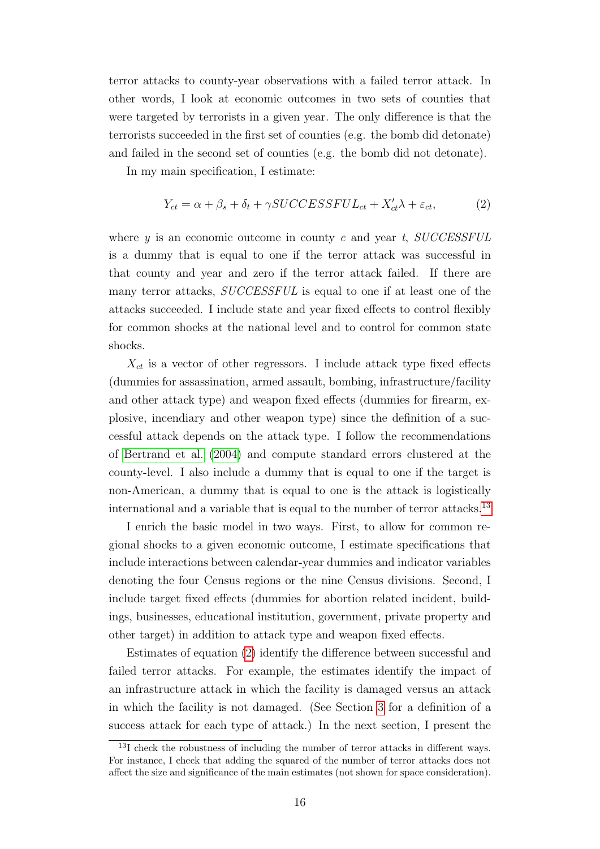terror attacks to county-year observations with a failed terror attack. In other words, I look at economic outcomes in two sets of counties that were targeted by terrorists in a given year. The only difference is that the terrorists succeeded in the first set of counties (e.g. the bomb did detonate) and failed in the second set of counties (e.g. the bomb did not detonate).

In my main specification, I estimate:

<span id="page-17-1"></span>
$$
Y_{ct} = \alpha + \beta_s + \delta_t + \gamma \text{SUCCESSEUL}_{ct} + X_{ct}'\lambda + \varepsilon_{ct},\tag{2}
$$

where  $y$  is an economic outcome in county c and year t,  $SUCCESFUL$ is a dummy that is equal to one if the terror attack was successful in that county and year and zero if the terror attack failed. If there are many terror attacks, SUCCESSFUL is equal to one if at least one of the attacks succeeded. I include state and year fixed effects to control flexibly for common shocks at the national level and to control for common state shocks.

 $X_{ct}$  is a vector of other regressors. I include attack type fixed effects (dummies for assassination, armed assault, bombing, infrastructure/facility and other attack type) and weapon fixed effects (dummies for firearm, explosive, incendiary and other weapon type) since the definition of a successful attack depends on the attack type. I follow the recommendations of [Bertrand et al.](#page-27-10) [\(2004\)](#page-27-10) and compute standard errors clustered at the county-level. I also include a dummy that is equal to one if the target is non-American, a dummy that is equal to one is the attack is logistically international and a variable that is equal to the number of terror attacks.[13](#page-17-0)

I enrich the basic model in two ways. First, to allow for common regional shocks to a given economic outcome, I estimate specifications that include interactions between calendar-year dummies and indicator variables denoting the four Census regions or the nine Census divisions. Second, I include target fixed effects (dummies for abortion related incident, buildings, businesses, educational institution, government, private property and other target) in addition to attack type and weapon fixed effects.

Estimates of equation [\(2\)](#page-17-1) identify the difference between successful and failed terror attacks. For example, the estimates identify the impact of an infrastructure attack in which the facility is damaged versus an attack in which the facility is not damaged. (See Section [3](#page-9-0) for a definition of a success attack for each type of attack.) In the next section, I present the

<span id="page-17-0"></span><sup>&</sup>lt;sup>13</sup>I check the robustness of including the number of terror attacks in different ways. For instance, I check that adding the squared of the number of terror attacks does not affect the size and significance of the main estimates (not shown for space consideration).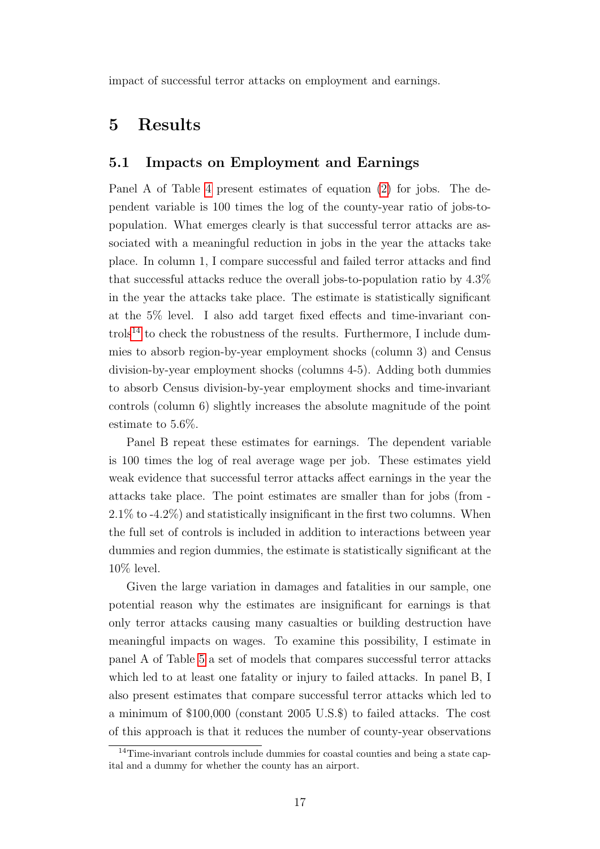<span id="page-18-0"></span>impact of successful terror attacks on employment and earnings.

### 5 Results

#### 5.1 Impacts on Employment and Earnings

Panel A of Table [4](#page-35-0) present estimates of equation [\(2\)](#page-17-1) for jobs. The dependent variable is 100 times the log of the county-year ratio of jobs-topopulation. What emerges clearly is that successful terror attacks are associated with a meaningful reduction in jobs in the year the attacks take place. In column 1, I compare successful and failed terror attacks and find that successful attacks reduce the overall jobs-to-population ratio by 4.3% in the year the attacks take place. The estimate is statistically significant at the 5% level. I also add target fixed effects and time-invariant con $t$ rols<sup>[14](#page-18-1)</sup> to check the robustness of the results. Furthermore, I include dummies to absorb region-by-year employment shocks (column 3) and Census division-by-year employment shocks (columns 4-5). Adding both dummies to absorb Census division-by-year employment shocks and time-invariant controls (column 6) slightly increases the absolute magnitude of the point estimate to 5.6%.

Panel B repeat these estimates for earnings. The dependent variable is 100 times the log of real average wage per job. These estimates yield weak evidence that successful terror attacks affect earnings in the year the attacks take place. The point estimates are smaller than for jobs (from - 2.1% to -4.2%) and statistically insignificant in the first two columns. When the full set of controls is included in addition to interactions between year dummies and region dummies, the estimate is statistically significant at the 10% level.

Given the large variation in damages and fatalities in our sample, one potential reason why the estimates are insignificant for earnings is that only terror attacks causing many casualties or building destruction have meaningful impacts on wages. To examine this possibility, I estimate in panel A of Table [5](#page-36-0) a set of models that compares successful terror attacks which led to at least one fatality or injury to failed attacks. In panel B, I also present estimates that compare successful terror attacks which led to a minimum of \$100,000 (constant 2005 U.S.\$) to failed attacks. The cost of this approach is that it reduces the number of county-year observations

<span id="page-18-1"></span><sup>&</sup>lt;sup>14</sup>Time-invariant controls include dummies for coastal counties and being a state capital and a dummy for whether the county has an airport.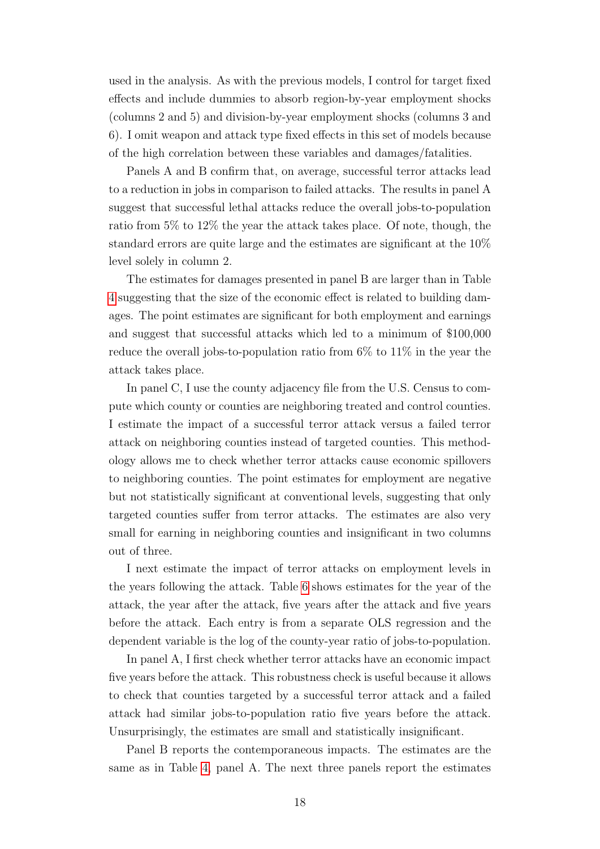used in the analysis. As with the previous models, I control for target fixed effects and include dummies to absorb region-by-year employment shocks (columns 2 and 5) and division-by-year employment shocks (columns 3 and 6). I omit weapon and attack type fixed effects in this set of models because of the high correlation between these variables and damages/fatalities.

Panels A and B confirm that, on average, successful terror attacks lead to a reduction in jobs in comparison to failed attacks. The results in panel A suggest that successful lethal attacks reduce the overall jobs-to-population ratio from 5% to 12% the year the attack takes place. Of note, though, the standard errors are quite large and the estimates are significant at the 10% level solely in column 2.

The estimates for damages presented in panel B are larger than in Table [4](#page-35-0) suggesting that the size of the economic effect is related to building damages. The point estimates are significant for both employment and earnings and suggest that successful attacks which led to a minimum of \$100,000 reduce the overall jobs-to-population ratio from 6% to 11% in the year the attack takes place.

In panel C, I use the county adjacency file from the U.S. Census to compute which county or counties are neighboring treated and control counties. I estimate the impact of a successful terror attack versus a failed terror attack on neighboring counties instead of targeted counties. This methodology allows me to check whether terror attacks cause economic spillovers to neighboring counties. The point estimates for employment are negative but not statistically significant at conventional levels, suggesting that only targeted counties suffer from terror attacks. The estimates are also very small for earning in neighboring counties and insignificant in two columns out of three.

I next estimate the impact of terror attacks on employment levels in the years following the attack. Table [6](#page-37-0) shows estimates for the year of the attack, the year after the attack, five years after the attack and five years before the attack. Each entry is from a separate OLS regression and the dependent variable is the log of the county-year ratio of jobs-to-population.

In panel A, I first check whether terror attacks have an economic impact five years before the attack. This robustness check is useful because it allows to check that counties targeted by a successful terror attack and a failed attack had similar jobs-to-population ratio five years before the attack. Unsurprisingly, the estimates are small and statistically insignificant.

Panel B reports the contemporaneous impacts. The estimates are the same as in Table [4,](#page-35-0) panel A. The next three panels report the estimates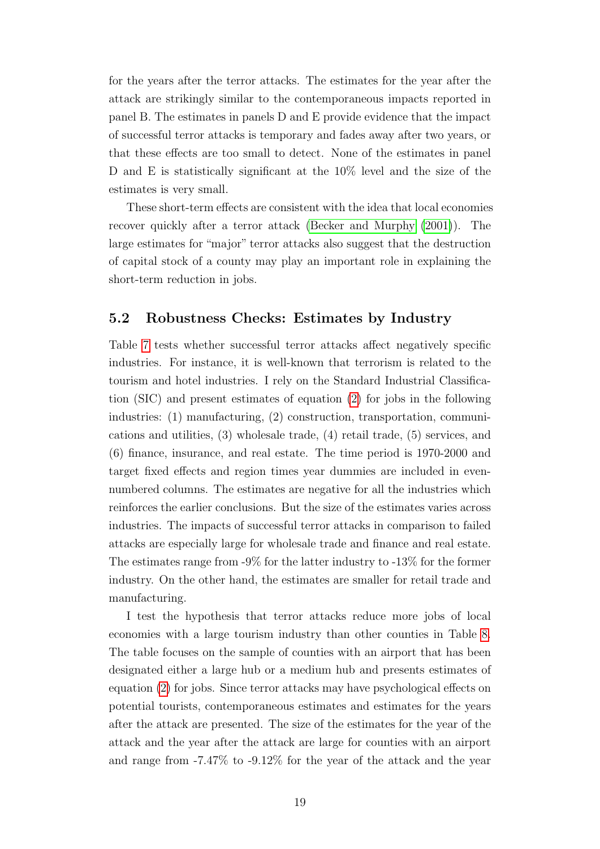for the years after the terror attacks. The estimates for the year after the attack are strikingly similar to the contemporaneous impacts reported in panel B. The estimates in panels D and E provide evidence that the impact of successful terror attacks is temporary and fades away after two years, or that these effects are too small to detect. None of the estimates in panel D and E is statistically significant at the 10% level and the size of the estimates is very small.

These short-term effects are consistent with the idea that local economies recover quickly after a terror attack [\(Becker and Murphy](#page-27-4) [\(2001\)](#page-27-4)). The large estimates for "major" terror attacks also suggest that the destruction of capital stock of a county may play an important role in explaining the short-term reduction in jobs.

#### 5.2 Robustness Checks: Estimates by Industry

Table [7](#page-38-0) tests whether successful terror attacks affect negatively specific industries. For instance, it is well-known that terrorism is related to the tourism and hotel industries. I rely on the Standard Industrial Classification (SIC) and present estimates of equation [\(2\)](#page-17-1) for jobs in the following industries: (1) manufacturing, (2) construction, transportation, communications and utilities, (3) wholesale trade, (4) retail trade, (5) services, and (6) finance, insurance, and real estate. The time period is 1970-2000 and target fixed effects and region times year dummies are included in evennumbered columns. The estimates are negative for all the industries which reinforces the earlier conclusions. But the size of the estimates varies across industries. The impacts of successful terror attacks in comparison to failed attacks are especially large for wholesale trade and finance and real estate. The estimates range from -9% for the latter industry to -13% for the former industry. On the other hand, the estimates are smaller for retail trade and manufacturing.

I test the hypothesis that terror attacks reduce more jobs of local economies with a large tourism industry than other counties in Table [8.](#page-39-0) The table focuses on the sample of counties with an airport that has been designated either a large hub or a medium hub and presents estimates of equation [\(2\)](#page-17-1) for jobs. Since terror attacks may have psychological effects on potential tourists, contemporaneous estimates and estimates for the years after the attack are presented. The size of the estimates for the year of the attack and the year after the attack are large for counties with an airport and range from -7.47% to -9.12% for the year of the attack and the year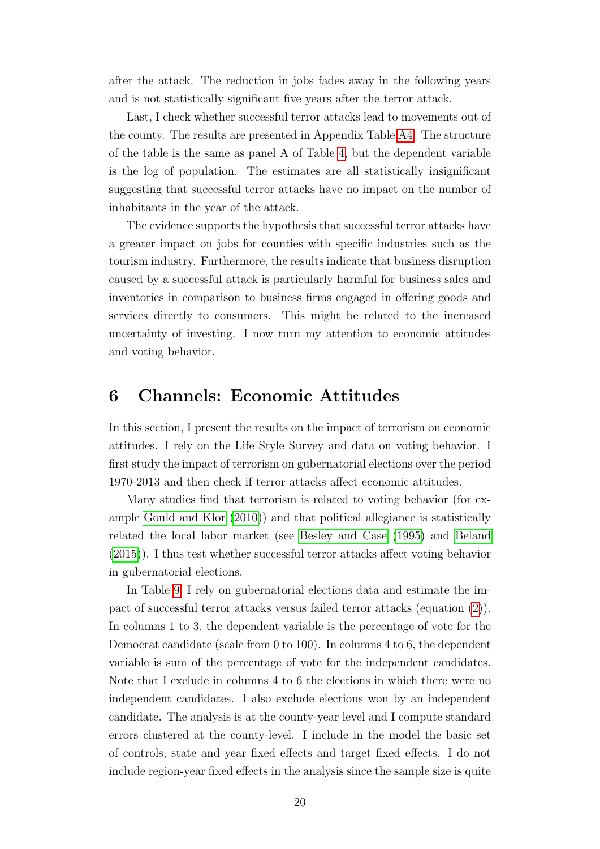after the attack. The reduction in jobs fades away in the following years and is not statistically significant five years after the terror attack.

Last, I check whether successful terror attacks lead to movements out of the county. The results are presented in Appendix Table [A4.](#page-46-0) The structure of the table is the same as panel A of Table [4,](#page-35-0) but the dependent variable is the log of population. The estimates are all statistically insignificant suggesting that successful terror attacks have no impact on the number of inhabitants in the year of the attack.

The evidence supports the hypothesis that successful terror attacks have a greater impact on jobs for counties with specific industries such as the tourism industry. Furthermore, the results indicate that business disruption caused by a successful attack is particularly harmful for business sales and inventories in comparison to business firms engaged in offering goods and services directly to consumers. This might be related to the increased uncertainty of investing. I now turn my attention to economic attitudes and voting behavior.

### <span id="page-21-0"></span>6 Channels: Economic Attitudes

In this section, I present the results on the impact of terrorism on economic attitudes. I rely on the Life Style Survey and data on voting behavior. I first study the impact of terrorism on gubernatorial elections over the period 1970-2013 and then check if terror attacks affect economic attitudes.

Many studies find that terrorism is related to voting behavior (for example [Gould and Klor](#page-29-10) [\(2010\)](#page-29-10)) and that political allegiance is statistically related the local labor market (see [Besley and Case](#page-27-8) [\(1995\)](#page-27-8) and [Beland](#page-27-7) [\(2015\)](#page-27-7)). I thus test whether successful terror attacks affect voting behavior in gubernatorial elections.

In Table [9,](#page-40-0) I rely on gubernatorial elections data and estimate the impact of successful terror attacks versus failed terror attacks (equation [\(2\)](#page-17-1)). In columns 1 to 3, the dependent variable is the percentage of vote for the Democrat candidate (scale from 0 to 100). In columns 4 to 6, the dependent variable is sum of the percentage of vote for the independent candidates. Note that I exclude in columns 4 to 6 the elections in which there were no independent candidates. I also exclude elections won by an independent candidate. The analysis is at the county-year level and I compute standard errors clustered at the county-level. I include in the model the basic set of controls, state and year fixed effects and target fixed effects. I do not include region-year fixed effects in the analysis since the sample size is quite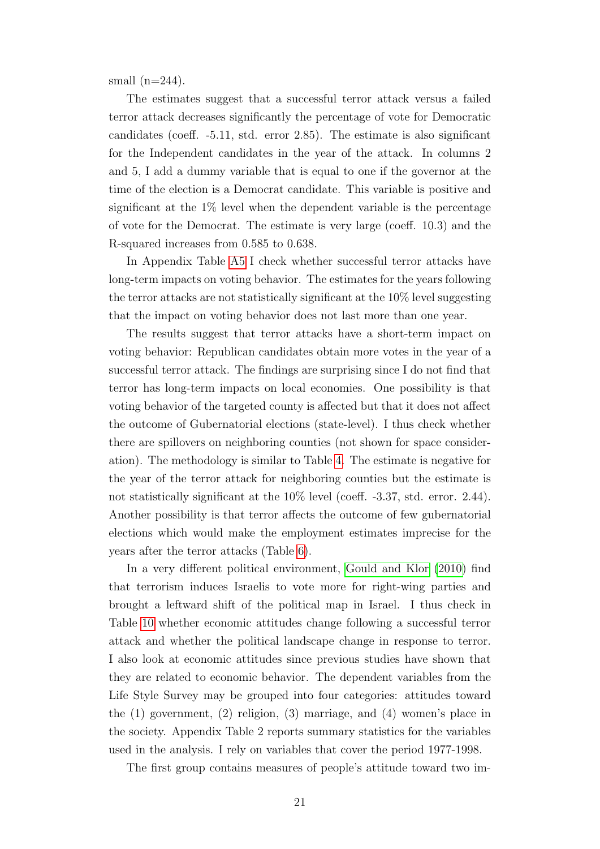small  $(n=244)$ .

The estimates suggest that a successful terror attack versus a failed terror attack decreases significantly the percentage of vote for Democratic candidates (coeff. -5.11, std. error 2.85). The estimate is also significant for the Independent candidates in the year of the attack. In columns 2 and 5, I add a dummy variable that is equal to one if the governor at the time of the election is a Democrat candidate. This variable is positive and significant at the  $1\%$  level when the dependent variable is the percentage of vote for the Democrat. The estimate is very large (coeff. 10.3) and the R-squared increases from 0.585 to 0.638.

In Appendix Table [A5](#page-47-0) I check whether successful terror attacks have long-term impacts on voting behavior. The estimates for the years following the terror attacks are not statistically significant at the 10% level suggesting that the impact on voting behavior does not last more than one year.

The results suggest that terror attacks have a short-term impact on voting behavior: Republican candidates obtain more votes in the year of a successful terror attack. The findings are surprising since I do not find that terror has long-term impacts on local economies. One possibility is that voting behavior of the targeted county is affected but that it does not affect the outcome of Gubernatorial elections (state-level). I thus check whether there are spillovers on neighboring counties (not shown for space consideration). The methodology is similar to Table [4.](#page-35-0) The estimate is negative for the year of the terror attack for neighboring counties but the estimate is not statistically significant at the 10% level (coeff. -3.37, std. error. 2.44). Another possibility is that terror affects the outcome of few gubernatorial elections which would make the employment estimates imprecise for the years after the terror attacks (Table [6\)](#page-37-0).

In a very different political environment, [Gould and Klor](#page-29-10) [\(2010\)](#page-29-10) find that terrorism induces Israelis to vote more for right-wing parties and brought a leftward shift of the political map in Israel. I thus check in Table [10](#page-41-0) whether economic attitudes change following a successful terror attack and whether the political landscape change in response to terror. I also look at economic attitudes since previous studies have shown that they are related to economic behavior. The dependent variables from the Life Style Survey may be grouped into four categories: attitudes toward the (1) government, (2) religion, (3) marriage, and (4) women's place in the society. Appendix Table 2 reports summary statistics for the variables used in the analysis. I rely on variables that cover the period 1977-1998.

The first group contains measures of people's attitude toward two im-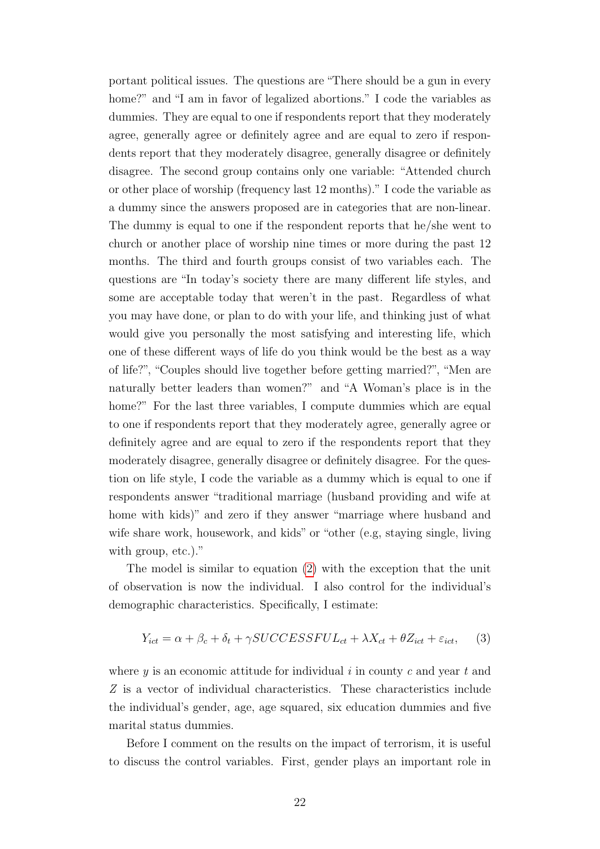portant political issues. The questions are "There should be a gun in every home?" and "I am in favor of legalized abortions." I code the variables as dummies. They are equal to one if respondents report that they moderately agree, generally agree or definitely agree and are equal to zero if respondents report that they moderately disagree, generally disagree or definitely disagree. The second group contains only one variable: "Attended church or other place of worship (frequency last 12 months)." I code the variable as a dummy since the answers proposed are in categories that are non-linear. The dummy is equal to one if the respondent reports that he/she went to church or another place of worship nine times or more during the past 12 months. The third and fourth groups consist of two variables each. The questions are "In today's society there are many different life styles, and some are acceptable today that weren't in the past. Regardless of what you may have done, or plan to do with your life, and thinking just of what would give you personally the most satisfying and interesting life, which one of these different ways of life do you think would be the best as a way of life?", "Couples should live together before getting married?", "Men are naturally better leaders than women?" and "A Woman's place is in the home?" For the last three variables, I compute dummies which are equal to one if respondents report that they moderately agree, generally agree or definitely agree and are equal to zero if the respondents report that they moderately disagree, generally disagree or definitely disagree. For the question on life style, I code the variable as a dummy which is equal to one if respondents answer "traditional marriage (husband providing and wife at home with kids)" and zero if they answer "marriage where husband and wife share work, housework, and kids" or "other (e.g, staying single, living with group, etc.)."

The model is similar to equation [\(2\)](#page-17-1) with the exception that the unit of observation is now the individual. I also control for the individual's demographic characteristics. Specifically, I estimate:

$$
Y_{ict} = \alpha + \beta_c + \delta_t + \gamma SUCCESSEUL_{ct} + \lambda X_{ct} + \theta Z_{ict} + \varepsilon_{ict}, \quad (3)
$$

where  $y$  is an economic attitude for individual  $i$  in county c and year t and Z is a vector of individual characteristics. These characteristics include the individual's gender, age, age squared, six education dummies and five marital status dummies.

Before I comment on the results on the impact of terrorism, it is useful to discuss the control variables. First, gender plays an important role in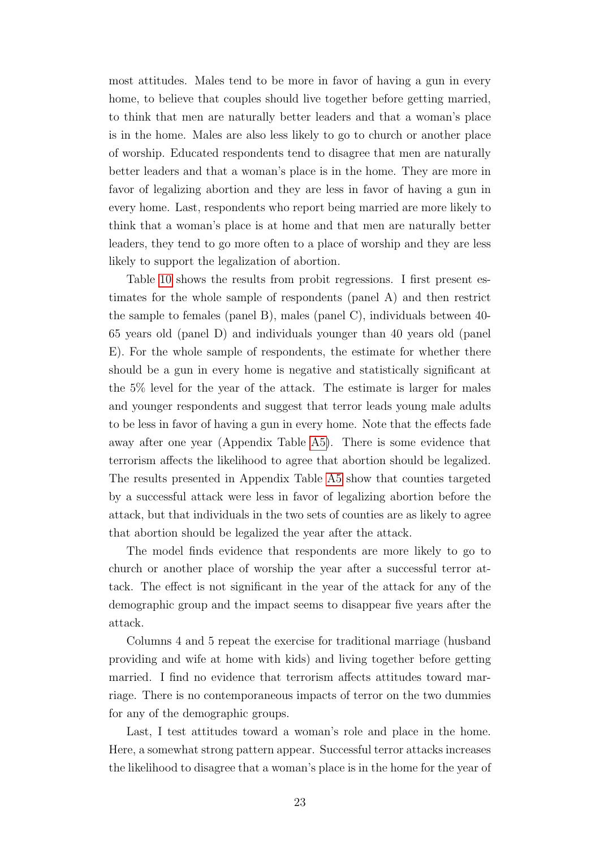most attitudes. Males tend to be more in favor of having a gun in every home, to believe that couples should live together before getting married, to think that men are naturally better leaders and that a woman's place is in the home. Males are also less likely to go to church or another place of worship. Educated respondents tend to disagree that men are naturally better leaders and that a woman's place is in the home. They are more in favor of legalizing abortion and they are less in favor of having a gun in every home. Last, respondents who report being married are more likely to think that a woman's place is at home and that men are naturally better leaders, they tend to go more often to a place of worship and they are less likely to support the legalization of abortion.

Table [10](#page-41-0) shows the results from probit regressions. I first present estimates for the whole sample of respondents (panel A) and then restrict the sample to females (panel B), males (panel C), individuals between 40- 65 years old (panel D) and individuals younger than 40 years old (panel E). For the whole sample of respondents, the estimate for whether there should be a gun in every home is negative and statistically significant at the 5% level for the year of the attack. The estimate is larger for males and younger respondents and suggest that terror leads young male adults to be less in favor of having a gun in every home. Note that the effects fade away after one year (Appendix Table [A5\)](#page-47-0). There is some evidence that terrorism affects the likelihood to agree that abortion should be legalized. The results presented in Appendix Table [A5](#page-47-0) show that counties targeted by a successful attack were less in favor of legalizing abortion before the attack, but that individuals in the two sets of counties are as likely to agree that abortion should be legalized the year after the attack.

The model finds evidence that respondents are more likely to go to church or another place of worship the year after a successful terror attack. The effect is not significant in the year of the attack for any of the demographic group and the impact seems to disappear five years after the attack.

Columns 4 and 5 repeat the exercise for traditional marriage (husband providing and wife at home with kids) and living together before getting married. I find no evidence that terrorism affects attitudes toward marriage. There is no contemporaneous impacts of terror on the two dummies for any of the demographic groups.

Last, I test attitudes toward a woman's role and place in the home. Here, a somewhat strong pattern appear. Successful terror attacks increases the likelihood to disagree that a woman's place is in the home for the year of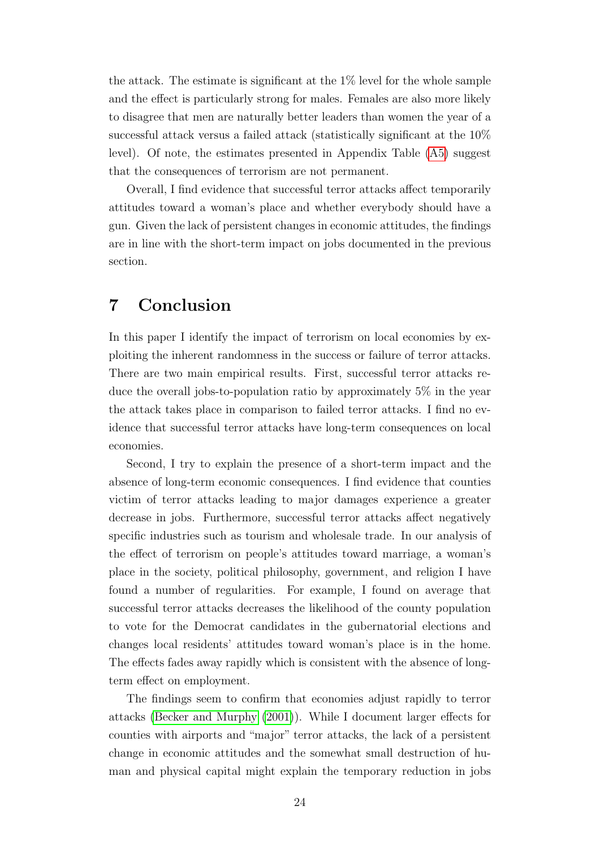the attack. The estimate is significant at the 1% level for the whole sample and the effect is particularly strong for males. Females are also more likely to disagree that men are naturally better leaders than women the year of a successful attack versus a failed attack (statistically significant at the 10% level). Of note, the estimates presented in Appendix Table [\(A5\)](#page-47-0) suggest that the consequences of terrorism are not permanent.

Overall, I find evidence that successful terror attacks affect temporarily attitudes toward a woman's place and whether everybody should have a gun. Given the lack of persistent changes in economic attitudes, the findings are in line with the short-term impact on jobs documented in the previous section.

### 7 Conclusion

In this paper I identify the impact of terrorism on local economies by exploiting the inherent randomness in the success or failure of terror attacks. There are two main empirical results. First, successful terror attacks reduce the overall jobs-to-population ratio by approximately 5% in the year the attack takes place in comparison to failed terror attacks. I find no evidence that successful terror attacks have long-term consequences on local economies.

Second, I try to explain the presence of a short-term impact and the absence of long-term economic consequences. I find evidence that counties victim of terror attacks leading to major damages experience a greater decrease in jobs. Furthermore, successful terror attacks affect negatively specific industries such as tourism and wholesale trade. In our analysis of the effect of terrorism on people's attitudes toward marriage, a woman's place in the society, political philosophy, government, and religion I have found a number of regularities. For example, I found on average that successful terror attacks decreases the likelihood of the county population to vote for the Democrat candidates in the gubernatorial elections and changes local residents' attitudes toward woman's place is in the home. The effects fades away rapidly which is consistent with the absence of longterm effect on employment.

The findings seem to confirm that economies adjust rapidly to terror attacks [\(Becker and Murphy](#page-27-4) [\(2001\)](#page-27-4)). While I document larger effects for counties with airports and "major" terror attacks, the lack of a persistent change in economic attitudes and the somewhat small destruction of human and physical capital might explain the temporary reduction in jobs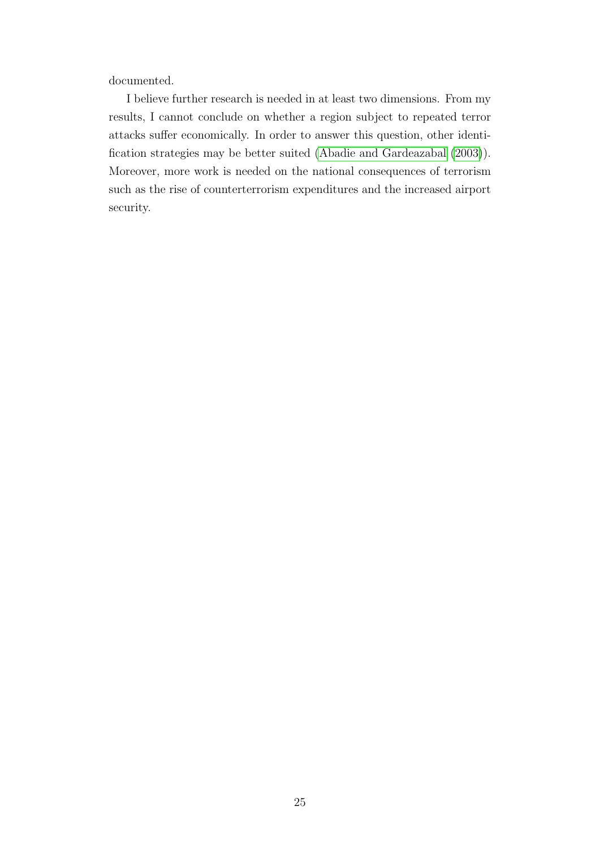documented.

I believe further research is needed in at least two dimensions. From my results, I cannot conclude on whether a region subject to repeated terror attacks suffer economically. In order to answer this question, other identification strategies may be better suited [\(Abadie and Gardeazabal](#page-27-5) [\(2003\)](#page-27-5)). Moreover, more work is needed on the national consequences of terrorism such as the rise of counterterrorism expenditures and the increased airport security.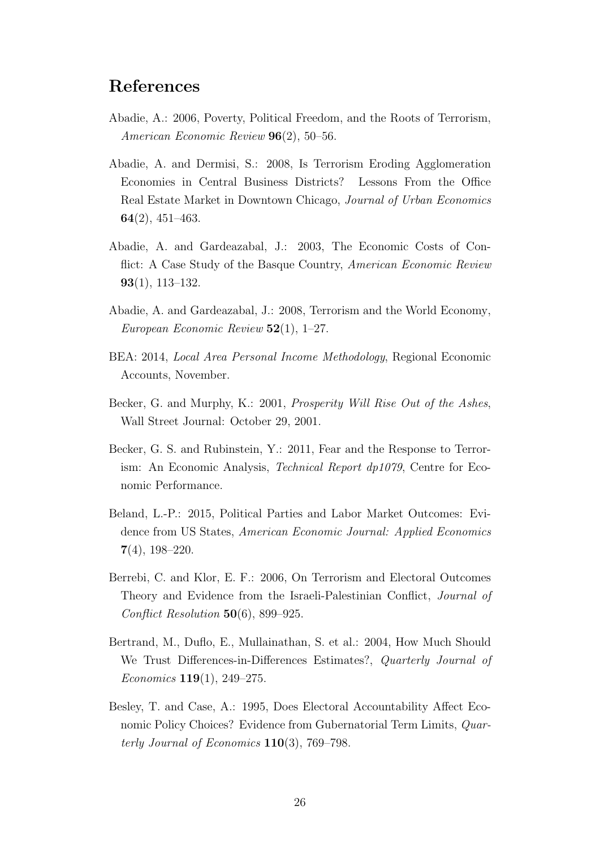### References

- <span id="page-27-3"></span>Abadie, A.: 2006, Poverty, Political Freedom, and the Roots of Terrorism, American Economic Review 96(2), 50–56.
- <span id="page-27-1"></span>Abadie, A. and Dermisi, S.: 2008, Is Terrorism Eroding Agglomeration Economies in Central Business Districts? Lessons From the Office Real Estate Market in Downtown Chicago, Journal of Urban Economics 64(2), 451–463.
- <span id="page-27-5"></span>Abadie, A. and Gardeazabal, J.: 2003, The Economic Costs of Conflict: A Case Study of the Basque Country, American Economic Review 93(1), 113–132.
- <span id="page-27-2"></span>Abadie, A. and Gardeazabal, J.: 2008, Terrorism and the World Economy, European Economic Review  $52(1)$ , 1–27.
- <span id="page-27-9"></span>BEA: 2014, Local Area Personal Income Methodology, Regional Economic Accounts, November.
- <span id="page-27-4"></span>Becker, G. and Murphy, K.: 2001, Prosperity Will Rise Out of the Ashes, Wall Street Journal: October 29, 2001.
- <span id="page-27-0"></span>Becker, G. S. and Rubinstein, Y.: 2011, Fear and the Response to Terrorism: An Economic Analysis, Technical Report dp1079, Centre for Economic Performance.
- <span id="page-27-7"></span>Beland, L.-P.: 2015, Political Parties and Labor Market Outcomes: Evidence from US States, American Economic Journal: Applied Economics 7(4), 198–220.
- <span id="page-27-6"></span>Berrebi, C. and Klor, E. F.: 2006, On Terrorism and Electoral Outcomes Theory and Evidence from the Israeli-Palestinian Conflict, Journal of Conflict Resolution 50(6), 899–925.
- <span id="page-27-10"></span>Bertrand, M., Duflo, E., Mullainathan, S. et al.: 2004, How Much Should We Trust Differences-in-Differences Estimates?, Quarterly Journal of Economics 119(1), 249–275.
- <span id="page-27-8"></span>Besley, T. and Case, A.: 1995, Does Electoral Accountability Affect Economic Policy Choices? Evidence from Gubernatorial Term Limits, *Quar*terly Journal of Economics  $110(3)$ , 769–798.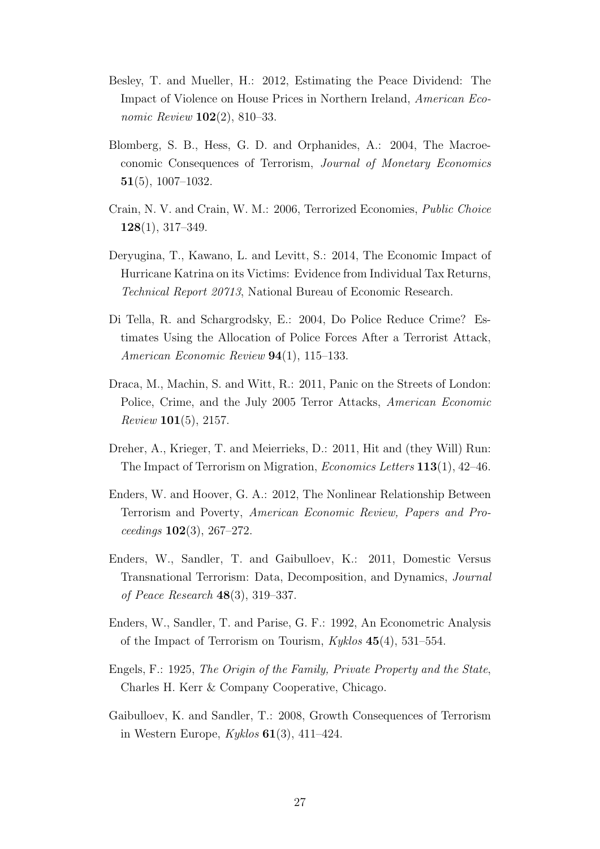- <span id="page-28-1"></span>Besley, T. and Mueller, H.: 2012, Estimating the Peace Dividend: The Impact of Violence on House Prices in Northern Ireland, American Economic Review 102(2), 810–33.
- <span id="page-28-6"></span>Blomberg, S. B., Hess, G. D. and Orphanides, A.: 2004, The Macroeconomic Consequences of Terrorism, Journal of Monetary Economics 51(5), 1007–1032.
- <span id="page-28-7"></span>Crain, N. V. and Crain, W. M.: 2006, Terrorized Economies, Public Choice 128(1), 317–349.
- <span id="page-28-9"></span>Deryugina, T., Kawano, L. and Levitt, S.: 2014, The Economic Impact of Hurricane Katrina on its Victims: Evidence from Individual Tax Returns, Technical Report 20713, National Bureau of Economic Research.
- <span id="page-28-3"></span>Di Tella, R. and Schargrodsky, E.: 2004, Do Police Reduce Crime? Estimates Using the Allocation of Police Forces After a Terrorist Attack, American Economic Review 94(1), 115–133.
- <span id="page-28-4"></span>Draca, M., Machin, S. and Witt, R.: 2011, Panic on the Streets of London: Police, Crime, and the July 2005 Terror Attacks, American Economic Review 101(5), 2157.
- <span id="page-28-10"></span>Dreher, A., Krieger, T. and Meierrieks, D.: 2011, Hit and (they Will) Run: The Impact of Terrorism on Migration, Economics Letters 113(1), 42–46.
- <span id="page-28-2"></span>Enders, W. and Hoover, G. A.: 2012, The Nonlinear Relationship Between Terrorism and Poverty, American Economic Review, Papers and Pro $ceedings$  102(3), 267-272.
- <span id="page-28-5"></span>Enders, W., Sandler, T. and Gaibulloev, K.: 2011, Domestic Versus Transnational Terrorism: Data, Decomposition, and Dynamics, Journal of Peace Research 48(3), 319–337.
- <span id="page-28-0"></span>Enders, W., Sandler, T. and Parise, G. F.: 1992, An Econometric Analysis of the Impact of Terrorism on Tourism,  $Kyklos$  45(4), 531–554.
- <span id="page-28-11"></span>Engels, F.: 1925, The Origin of the Family, Private Property and the State, Charles H. Kerr & Company Cooperative, Chicago.
- <span id="page-28-8"></span>Gaibulloev, K. and Sandler, T.: 2008, Growth Consequences of Terrorism in Western Europe,  $Kyklos 61(3), 411-424$ .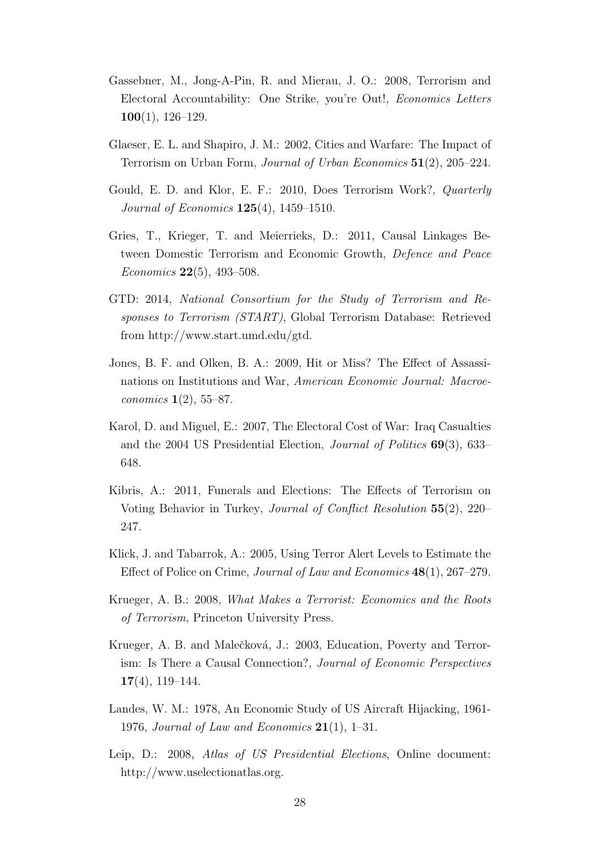- <span id="page-29-6"></span>Gassebner, M., Jong-A-Pin, R. and Mierau, J. O.: 2008, Terrorism and Electoral Accountability: One Strike, you're Out!, Economics Letters 100(1), 126–129.
- <span id="page-29-0"></span>Glaeser, E. L. and Shapiro, J. M.: 2002, Cities and Warfare: The Impact of Terrorism on Urban Form, Journal of Urban Economics 51(2), 205–224.
- <span id="page-29-10"></span>Gould, E. D. and Klor, E. F.: 2010, Does Terrorism Work?, Quarterly Journal of Economics 125(4), 1459–1510.
- <span id="page-29-5"></span>Gries, T., Krieger, T. and Meierrieks, D.: 2011, Causal Linkages Between Domestic Terrorism and Economic Growth, Defence and Peace *Economics* **22**(5), 493–508.
- <span id="page-29-11"></span>GTD: 2014, National Consortium for the Study of Terrorism and Responses to Terrorism (START), Global Terrorism Database: Retrieved from http://www.start.umd.edu/gtd.
- <span id="page-29-9"></span>Jones, B. F. and Olken, B. A.: 2009, Hit or Miss? The Effect of Assassinations on Institutions and War, American Economic Journal: Macroeconomics 1(2), 55–87.
- <span id="page-29-7"></span>Karol, D. and Miguel, E.: 2007, The Electoral Cost of War: Iraq Casualties and the 2004 US Presidential Election, Journal of Politics 69(3), 633– 648.
- <span id="page-29-8"></span>Kibris, A.: 2011, Funerals and Elections: The Effects of Terrorism on Voting Behavior in Turkey, Journal of Conflict Resolution 55(2), 220– 247.
- <span id="page-29-4"></span>Klick, J. and Tabarrok, A.: 2005, Using Terror Alert Levels to Estimate the Effect of Police on Crime, Journal of Law and Economics 48(1), 267–279.
- <span id="page-29-3"></span>Krueger, A. B.: 2008, What Makes a Terrorist: Economics and the Roots of Terrorism, Princeton University Press.
- <span id="page-29-2"></span>Krueger, A. B. and Malečková, J.: 2003, Education, Poverty and Terrorism: Is There a Causal Connection?, Journal of Economic Perspectives 17(4), 119–144.
- <span id="page-29-1"></span>Landes, W. M.: 1978, An Economic Study of US Aircraft Hijacking, 1961- 1976, Journal of Law and Economics  $21(1)$ , 1–31.
- <span id="page-29-12"></span>Leip, D.: 2008, Atlas of US Presidential Elections, Online document: http://www.uselectionatlas.org.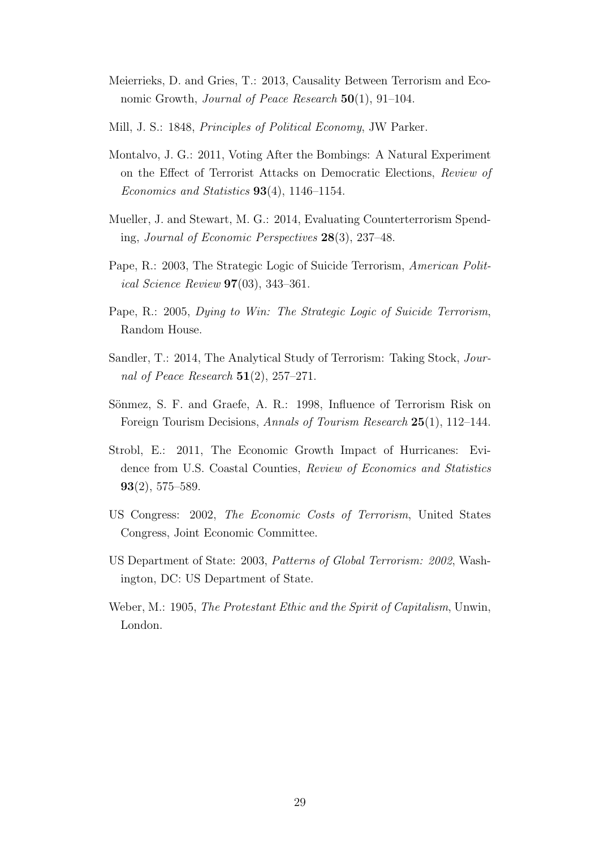- <span id="page-30-1"></span>Meierrieks, D. and Gries, T.: 2013, Causality Between Terrorism and Economic Growth, *Journal of Peace Research* 50(1), 91–104.
- <span id="page-30-8"></span>Mill, J. S.: 1848, Principles of Political Economy, JW Parker.
- <span id="page-30-3"></span>Montalvo, J. G.: 2011, Voting After the Bombings: A Natural Experiment on the Effect of Terrorist Attacks on Democratic Elections, Review of Economics and Statistics 93(4), 1146–1154.
- <span id="page-30-0"></span>Mueller, J. and Stewart, M. G.: 2014, Evaluating Counterterrorism Spending, Journal of Economic Perspectives 28(3), 237–48.
- <span id="page-30-4"></span>Pape, R.: 2003, The Strategic Logic of Suicide Terrorism, American Political Science Review 97(03), 343–361.
- <span id="page-30-5"></span>Pape, R.: 2005, Dying to Win: The Strategic Logic of Suicide Terrorism, Random House.
- <span id="page-30-2"></span>Sandler, T.: 2014, The Analytical Study of Terrorism: Taking Stock, Journal of Peace Research  $51(2)$ , 257–271.
- <span id="page-30-9"></span>Sönmez, S. F. and Graefe, A. R.: 1998, Influence of Terrorism Risk on Foreign Tourism Decisions, Annals of Tourism Research 25(1), 112–144.
- <span id="page-30-6"></span>Strobl, E.: 2011, The Economic Growth Impact of Hurricanes: Evidence from U.S. Coastal Counties, Review of Economics and Statistics 93(2), 575–589.
- <span id="page-30-7"></span>US Congress: 2002, The Economic Costs of Terrorism, United States Congress, Joint Economic Committee.
- <span id="page-30-10"></span>US Department of State: 2003, Patterns of Global Terrorism: 2002, Washington, DC: US Department of State.
- <span id="page-30-11"></span>Weber, M.: 1905, The Protestant Ethic and the Spirit of Capitalism, Unwin, London.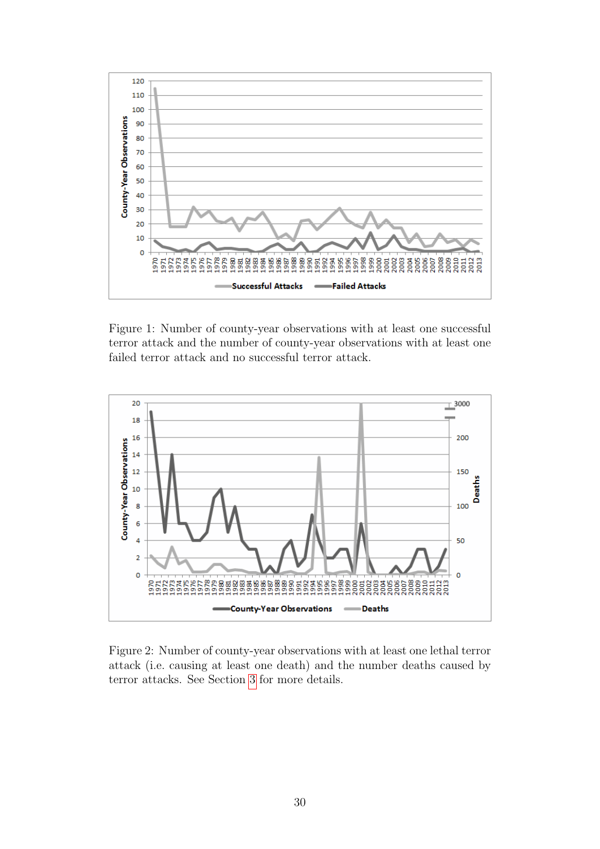<span id="page-31-0"></span>

Figure 1: Number of county-year observations with at least one successful terror attack and the number of county-year observations with at least one failed terror attack and no successful terror attack.

<span id="page-31-1"></span>

Figure 2: Number of county-year observations with at least one lethal terror attack (i.e. causing at least one death) and the number deaths caused by terror attacks. See Section [3](#page-9-0) for more details.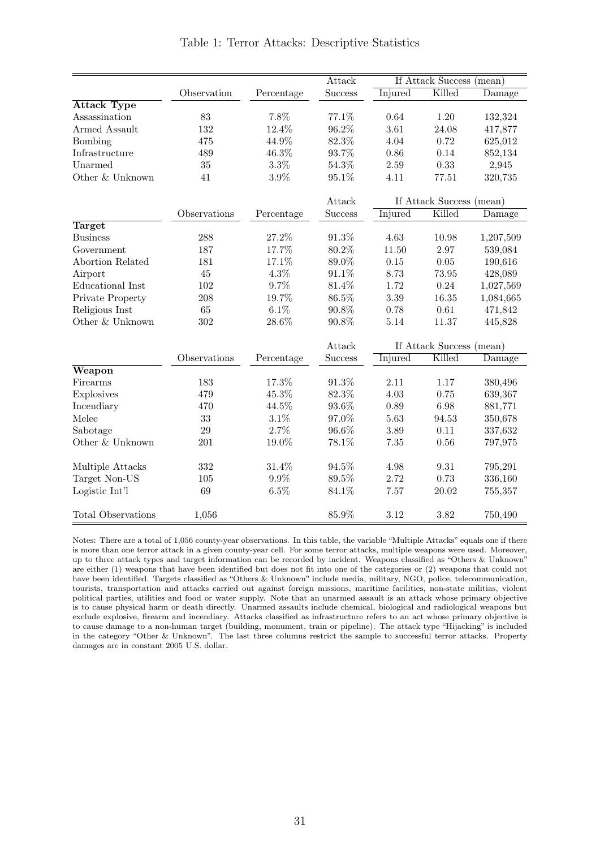<span id="page-32-0"></span>

|                           |              |            | Attack         |                | If Attack Success (mean) |                               |
|---------------------------|--------------|------------|----------------|----------------|--------------------------|-------------------------------|
|                           | Observation  | Percentage | <b>Success</b> | Injured        | Killed                   | $\overline{\mathrm{D}}$ amage |
| <b>Attack Type</b>        |              |            |                |                |                          |                               |
| Assassination             | 83           | 7.8%       | 77.1%          | 0.64           | 1.20                     | 132,324                       |
| Armed Assault             | 132          | 12.4%      | 96.2%          | 3.61           | 24.08                    | 417,877                       |
| Bombing                   | 475          | 44.9%      | 82.3%          | 4.04           | 0.72                     | 625,012                       |
| Infrastructure            | 489          | 46.3%      | 93.7%          | 0.86           | 0.14                     | 852,134                       |
| Unarmed                   | 35           | $3.3\%$    | 54.3%          | 2.59           | 0.33                     | 2,945                         |
| Other & Unknown           | 41           | $3.9\%$    | 95.1%          | 4.11           | 77.51                    | 320,735                       |
|                           |              |            | Attack         |                | If Attack Success (mean) |                               |
|                           | Observations | Percentage | Success        | Injured        | Killed                   | Damage                        |
| Target                    |              |            |                |                |                          |                               |
| <b>Business</b>           | 288          | 27.2%      | 91.3%          | 4.63           | 10.98                    | 1,207,509                     |
| Government                | 187          | 17.7%      | 80.2%          | 11.50          | 2.97                     | 539,084                       |
| Abortion Related          | 181          | 17.1%      | 89.0%          | 0.15           | 0.05                     | 190,616                       |
| Airport                   | 45           | $4.3\%$    | 91.1%          | 8.73           | 73.95                    | 428,089                       |
| Educational Inst          | 102          | $9.7\%$    | 81.4%          | 1.72           | 0.24                     | 1,027,569                     |
| Private Property          | 208          | 19.7%      | 86.5%          | 3.39           | 16.35                    | 1,084,665                     |
| Religious Inst            | 65           | $6.1\%$    | 90.8%          | 0.78           | 0.61                     | 471,842                       |
| Other & Unknown           | 302          | $28.6\%$   | 90.8%          | 5.14           | 11.37                    | 445,828                       |
|                           |              |            | Attack         |                | If Attack Success (mean) |                               |
|                           | Observations | Percentage | Success        | <b>Injured</b> | Killed                   | Damage                        |
| Weapon                    |              |            |                |                |                          |                               |
| Firearms                  | 183          | $17.3\%$   | 91.3%          | 2.11           | 1.17                     | 380,496                       |
| Explosives                | 479          | 45.3%      | 82.3%          | 4.03           | 0.75                     | 639,367                       |
| Incendiary                | 470          | 44.5%      | $93.6\%$       | 0.89           | 6.98                     | 881,771                       |
| Melee                     | 33           | $3.1\%$    | 97.0%          | 5.63           | 94.53                    | 350,678                       |
| Sabotage                  | 29           | 2.7%       | 96.6%          | 3.89           | 0.11                     | 337,632                       |
| Other & Unknown           | 201          | 19.0%      | 78.1%          | 7.35           | 0.56                     | 797,975                       |
| Multiple Attacks          | 332          | 31.4%      | 94.5%          | 4.98           | 9.31                     | 795,291                       |
| Target Non-US             | 105          | $9.9\%$    | 89.5%          | 2.72           | 0.73                     | 336,160                       |
| Logistic Int'l            | 69           | $6.5\%$    | 84.1%          | 7.57           | 20.02                    | 755,357                       |
| <b>Total Observations</b> | 1,056        |            | 85.9%          | 3.12           | 3.82                     | 750,490                       |

Table 1: Terror Attacks: Descriptive Statistics

Notes: There are a total of 1,056 county-year observations. In this table, the variable "Multiple Attacks" equals one if there is more than one terror attack in a given county-year cell. For some terror attacks, multiple weapons were used. Moreover, up to three attack types and target information can be recorded by incident. Weapons classified as "Others & Unknown" are either (1) weapons that have been identified but does not fit into one of the categories or (2) weapons that could not have been identified. Targets classified as "Others & Unknown" include media, military, NGO, police, telecommunication, tourists, transportation and attacks carried out against foreign missions, maritime facilities, non-state militias, violent political parties, utilities and food or water supply. Note that an unarmed assault is an attack whose primary objective is to cause physical harm or death directly. Unarmed assaults include chemical, biological and radiological weapons but exclude explosive, firearm and incendiary. Attacks classified as infrastructure refers to an act whose primary objective is to cause damage to a non-human target (building, monument, train or pipeline). The attack type "Hijacking" is included in the category "Other & Unknown". The last three columns restrict the sample to successful terror attacks. Property damages are in constant 2005 U.S. dollar.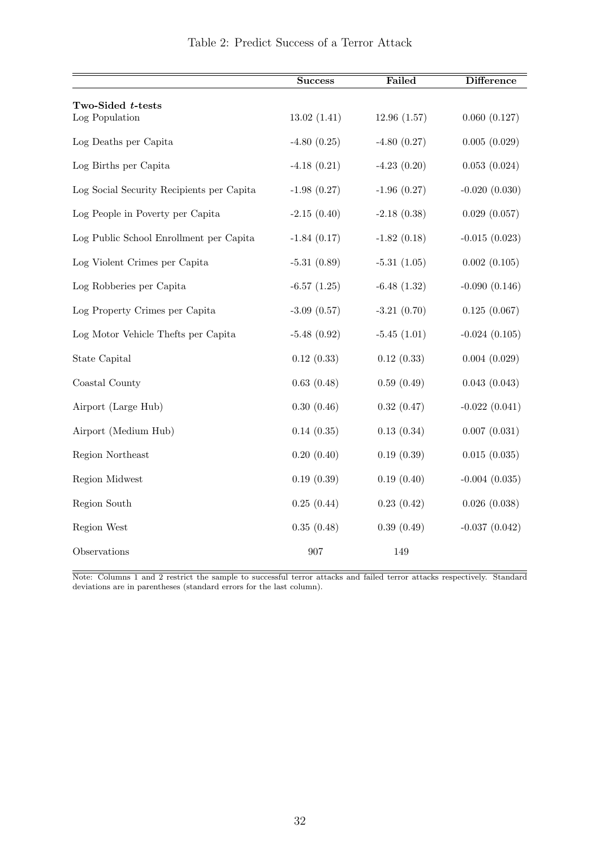<span id="page-33-0"></span>

|                                           | <b>Success</b>   | Failed           | <b>Difference</b> |
|-------------------------------------------|------------------|------------------|-------------------|
| Two-Sided t-tests                         |                  |                  |                   |
| Log Population                            | 13.02(1.41)      | 12.96(1.57)      | 0.060(0.127)      |
| Log Deaths per Capita                     | $-4.80(0.25)$    | $-4.80(0.27)$    | 0.005(0.029)      |
| Log Births per Capita                     | $-4.18(0.21)$    | $-4.23(0.20)$    | 0.053(0.024)      |
| Log Social Security Recipients per Capita | $-1.98(0.27)$    | $-1.96$ $(0.27)$ | $-0.020(0.030)$   |
| Log People in Poverty per Capita          | $-2.15(0.40)$    | $-2.18(0.38)$    | 0.029(0.057)      |
| Log Public School Enrollment per Capita   | $-1.84(0.17)$    | $-1.82(0.18)$    | $-0.015(0.023)$   |
| Log Violent Crimes per Capita             | $-5.31(0.89)$    | $-5.31(1.05)$    | 0.002(0.105)      |
| Log Robberies per Capita                  | $-6.57(1.25)$    | $-6.48(1.32)$    | $-0.090(0.146)$   |
| Log Property Crimes per Capita            | $-3.09$ $(0.57)$ | $-3.21(0.70)$    | 0.125(0.067)      |
| Log Motor Vehicle Thefts per Capita       | $-5.48(0.92)$    | $-5.45(1.01)$    | $-0.024(0.105)$   |
| State Capital                             | 0.12(0.33)       | 0.12(0.33)       | 0.004(0.029)      |
| Coastal County                            | 0.63(0.48)       | 0.59(0.49)       | 0.043(0.043)      |
| Airport (Large Hub)                       | 0.30(0.46)       | 0.32(0.47)       | $-0.022(0.041)$   |
| Airport (Medium Hub)                      | 0.14(0.35)       | 0.13(0.34)       | 0.007(0.031)      |
| Region Northeast                          | 0.20(0.40)       | 0.19(0.39)       | 0.015(0.035)      |
| Region Midwest                            | 0.19(0.39)       | 0.19(0.40)       | $-0.004(0.035)$   |
| Region South                              | 0.25(0.44)       | 0.23(0.42)       | 0.026(0.038)      |
| Region West                               | 0.35(0.48)       | 0.39(0.49)       | $-0.037(0.042)$   |
| Observations                              | 907              | 149              |                   |

Note: Columns 1 and 2 restrict the sample to successful terror attacks and failed terror attacks respectively. Standard deviations are in parentheses (standard errors for the last column).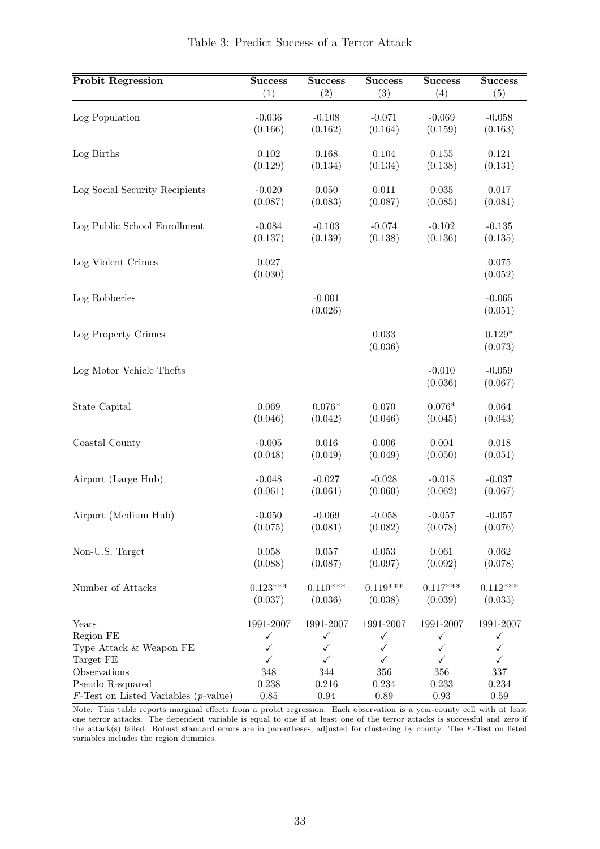<span id="page-34-0"></span>

| <b>Probit Regression</b>                | <b>Success</b>       | <b>Success</b>      | <b>Success</b>   | <b>Success</b>      | <b>Success</b>      |
|-----------------------------------------|----------------------|---------------------|------------------|---------------------|---------------------|
|                                         | (1)                  | (2)                 | (3)              | (4)                 | (5)                 |
| Log Population                          | $-0.036$             | $-0.108$            | $-0.071$         | $-0.069$            | $-0.058$            |
|                                         | (0.166)              | (0.162)             | (0.164)          | (0.159)             | (0.163)             |
| Log Births                              | 0.102                | 0.168               | 0.104            | 0.155               | 0.121               |
|                                         | (0.129)              | (0.134)             | (0.134)          | (0.138)             | (0.131)             |
| Log Social Security Recipients          | $-0.020$             | 0.050               | 0.011            | $\,0.035\,$         | $0.017\,$           |
|                                         | (0.087)              | (0.083)             | (0.087)          | (0.085)             | (0.081)             |
| Log Public School Enrollment            | $-0.084$             | $-0.103$            | $-0.074$         | $-0.102$            | $-0.135$            |
|                                         | (0.137)              | (0.139)             | (0.138)          | (0.136)             | (0.135)             |
| Log Violent Crimes                      | $0.027\,$<br>(0.030) |                     |                  |                     | 0.075<br>(0.052)    |
| Log Robberies                           |                      | $-0.001$<br>(0.026) |                  |                     | $-0.065$<br>(0.051) |
| Log Property Crimes                     |                      |                     | 0.033<br>(0.036) |                     | $0.129*$<br>(0.073) |
| Log Motor Vehicle Thefts                |                      |                     |                  | $-0.010$<br>(0.036) | $-0.059$<br>(0.067) |
| State Capital                           | 0.069                | $0.076*$            | 0.070            | $0.076*$            | $\,0.064\,$         |
|                                         | (0.046)              | (0.042)             | (0.046)          | (0.045)             | (0.043)             |
| Coastal County                          | $-0.005$             | 0.016               | 0.006            | $0.004\,$           | 0.018               |
|                                         | (0.048)              | (0.049)             | (0.049)          | (0.050)             | (0.051)             |
| Airport (Large Hub)                     | $-0.048$             | $-0.027$            | $-0.028$         | $-0.018$            | $-0.037$            |
|                                         | (0.061)              | (0.061)             | (0.060)          | (0.062)             | (0.067)             |
| Airport (Medium Hub)                    | $-0.050$             | $-0.069$            | $-0.058$         | $-0.057$            | $-0.057$            |
|                                         | (0.075)              | (0.081)             | (0.082)          | (0.078)             | (0.076)             |
| Non-U.S. Target                         | 0.058                | 0.057               | 0.053            | 0.061               | $\,0.062\,$         |
|                                         | (0.088)              | (0.087)             | (0.097)          | (0.092)             | (0.078)             |
| Number of Attacks                       | $0.123***$           | $0.110***$          | $0.119***$       | $0.117***$          | $0.112***$          |
|                                         | (0.037)              | (0.036)             | (0.038)          | (0.039)             | (0.035)             |
| Years                                   | 1991-2007            | 1991-2007           | 1991-2007        | 1991-2007           | 1991-2007           |
| Region FE                               | $\checkmark$         | $\checkmark$        | ✓                | $\checkmark$        | ✓                   |
| Type Attack & Weapon FE                 | ✓                    | ✓                   | ✓                | ✓                   | ✓                   |
| Target FE                               | $\checkmark$         | ✓                   | $\checkmark$     | $\checkmark$        | $\checkmark$        |
| Observations                            | 348                  | 344                 | 356              | 356                 | 337                 |
| Pseudo R-squared                        | 0.238                | 0.216               | 0.234            | 0.233               | 0.234               |
| $F$ -Test on Listed Variables (p-value) | $0.85\,$             | $\rm 0.94$          | $0.89\,$         | $\rm 0.93$          | $0.59\,$            |

Table 3: Predict Success of a Terror Attack

Note: This table reports marginal effects from a probit regression. Each observation is a year-county cell with at least one terror attacks. The dependent variable is equal to one if at least one of the terror attacks is successful and zero if the attack(s) failed. Robust standard errors are in parentheses, adjusted for clustering by county. The F-Test on listed variables includes the region dummies.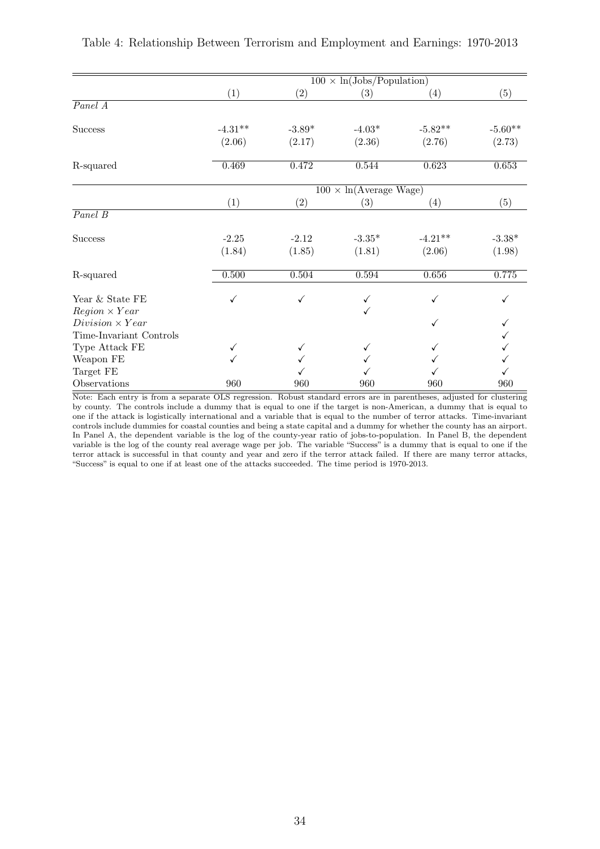|                         |              |          | $100 \times \ln(\text{Jobs/Population})$ |           |           |
|-------------------------|--------------|----------|------------------------------------------|-----------|-----------|
|                         | (1)          | (2)      | (3)                                      | (4)       | (5)       |
| $\overline{Panel\ A}$   |              |          |                                          |           |           |
| <b>Success</b>          | $-4.31**$    | $-3.89*$ | $-4.03*$                                 | $-5.82**$ | $-5.60**$ |
|                         | (2.06)       | (2.17)   | (2.36)                                   | (2.76)    | (2.73)    |
| R-squared               | 0.469        | 0.472    | 0.544                                    | 0.623     | 0.653     |
|                         |              |          | $100 \times \ln(\text{Average wage})$    |           |           |
|                         | (1)          | (2)      | (3)                                      | (4)       | (5)       |
| $\overline{Panel \ B}$  |              |          |                                          |           |           |
| <b>Success</b>          | $-2.25$      | $-2.12$  | $-3.35*$                                 | $-4.21**$ | $-3.38*$  |
|                         | (1.84)       | (1.85)   | (1.81)                                   | (2.06)    | (1.98)    |
| R-squared               | 0.500        | 0.504    | 0.594                                    | 0.656     | 0.775     |
| Year & State FE         | $\checkmark$ | ✓        | ✓                                        | ✓         |           |
| $Region \times Year$    |              |          | ✓                                        |           |           |
| $Division \times Year$  |              |          |                                          | ✓         |           |
| Time-Invariant Controls |              |          |                                          |           |           |
| Type Attack FE          | ✓            |          |                                          |           |           |
| Weapon FE               | ✓            |          |                                          |           |           |
| Target FE               |              |          |                                          |           |           |
| Observations            | 960          | 960      | 960                                      | 960       | 960       |

<span id="page-35-0"></span>

| Table 4: Relationship Between Terrorism and Employment and Earnings: 1970-2013 |  |  |  |  |
|--------------------------------------------------------------------------------|--|--|--|--|
|--------------------------------------------------------------------------------|--|--|--|--|

Note: Each entry is from a separate OLS regression. Robust standard errors are in parentheses, adjusted for clustering by county. The controls include a dummy that is equal to one if the target is non-American, a dummy that is equal to one if the attack is logistically international and a variable that is equal to the number of terror attacks. Time-invariant controls include dummies for coastal counties and being a state capital and a dummy for whether the county has an airport. In Panel A, the dependent variable is the log of the county-year ratio of jobs-to-population. In Panel B, the dependent variable is the log of the county real average wage per job. The variable "Success" is a dummy that is equal to one if the terror attack is successful in that county and year and zero if the terror attack failed. If there are many terror attacks, "Success" is equal to one if at least one of the attacks succeeded. The time period is 1970-2013.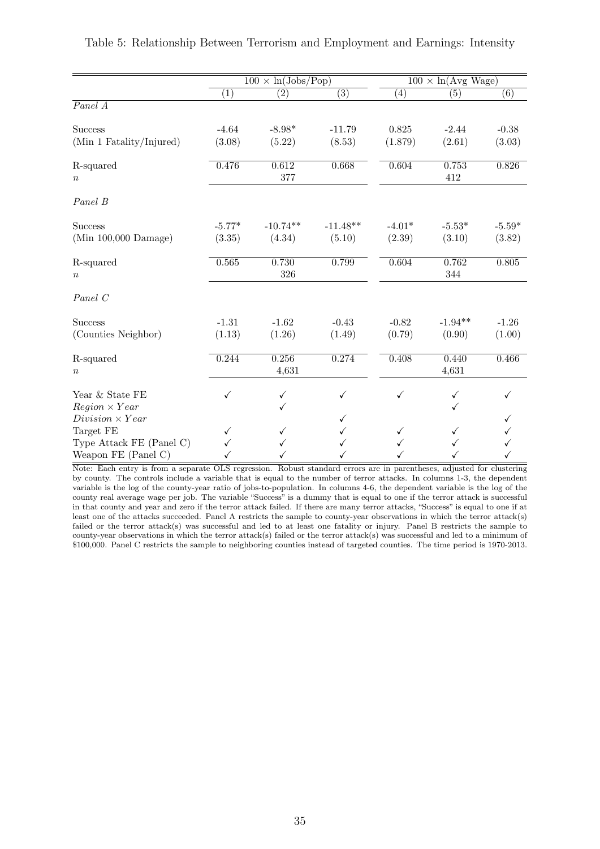|                          | $100 \times \ln(\text{Jobs/Pop})$ |                  |                  | $100 \times \ln(\text{Avg Wage})$ |              |                  |
|--------------------------|-----------------------------------|------------------|------------------|-----------------------------------|--------------|------------------|
|                          | (1)                               | $\overline{(2)}$ | $\overline{(3)}$ | $\left( 4\right)$                 | (5)          | $\overline{(6)}$ |
| $\overline{Panel\ A}$    |                                   |                  |                  |                                   |              |                  |
| <b>Success</b>           | $-4.64$                           | $-8.98*$         | $-11.79$         | 0.825                             | $-2.44$      | $-0.38$          |
| (Min 1 Fatality/Injured) | (3.08)                            | (5.22)           | (8.53)           | (1.879)                           | (2.61)       | (3.03)           |
| R-squared<br>$\it{n}$    | 0.476                             | 0.612<br>377     | 0.668            | 0.604                             | 0.753<br>412 | 0.826            |
| Panel B                  |                                   |                  |                  |                                   |              |                  |
| <b>Success</b>           | $-5.77*$                          | $-10.74**$       | $-11.48**$       | $-4.01*$                          | $-5.53*$     | $-5.59*$         |
| $(Min 100,000$ Damage)   | (3.35)                            | (4.34)           | (5.10)           | (2.39)                            | (3.10)       | (3.82)           |
| R-squared                | 0.565                             | 0.730<br>326     | 0.799            | 0.604                             | 0.762<br>344 | 0.805            |
| $\boldsymbol{n}$         |                                   |                  |                  |                                   |              |                  |
| Panel C                  |                                   |                  |                  |                                   |              |                  |
| <b>Success</b>           | $-1.31$                           | $-1.62$          | $-0.43$          | $-0.82$                           | $-1.94**$    | $-1.26$          |
| (Counties Neighbor)      | (1.13)                            | (1.26)           | (1.49)           | (0.79)                            | (0.90)       | (1.00)           |
| R-squared                | 0.244                             | 0.256            | 0.274            | 0.408                             | 0.440        | 0.466            |
| $\boldsymbol{n}$         |                                   | 4,631            |                  |                                   | 4,631        |                  |
| Year & State FE          | ✓                                 | $\checkmark$     | ✓                | ✓                                 | $\checkmark$ |                  |
| $Region \times Year$     |                                   | ✓                |                  |                                   |              |                  |
| $Division \times Year$   |                                   |                  | ✓                |                                   |              |                  |
| Target FE                |                                   |                  |                  |                                   |              |                  |
| Type Attack FE (Panel C) |                                   |                  |                  |                                   |              |                  |
| Weapon $FE$ (Panel C)    |                                   |                  |                  |                                   |              |                  |

<span id="page-36-0"></span>Table 5: Relationship Between Terrorism and Employment and Earnings: Intensity

Note: Each entry is from a separate OLS regression. Robust standard errors are in parentheses, adjusted for clustering by county. The controls include a variable that is equal to the number of terror attacks. In columns 1-3, the dependent variable is the log of the county-year ratio of jobs-to-population. In columns 4-6, the dependent variable is the log of the county real average wage per job. The variable "Success" is a dummy that is equal to one if the terror attack is successful in that county and year and zero if the terror attack failed. If there are many terror attacks, "Success" is equal to one if at least one of the attacks succeeded. Panel A restricts the sample to county-year observations in which the terror attack(s) failed or the terror attack(s) was successful and led to at least one fatality or injury. Panel B restricts the sample to county-year observations in which the terror attack(s) failed or the terror attack(s) was successful and led to a minimum of \$100,000. Panel C restricts the sample to neighboring counties instead of targeted counties. The time period is 1970-2013.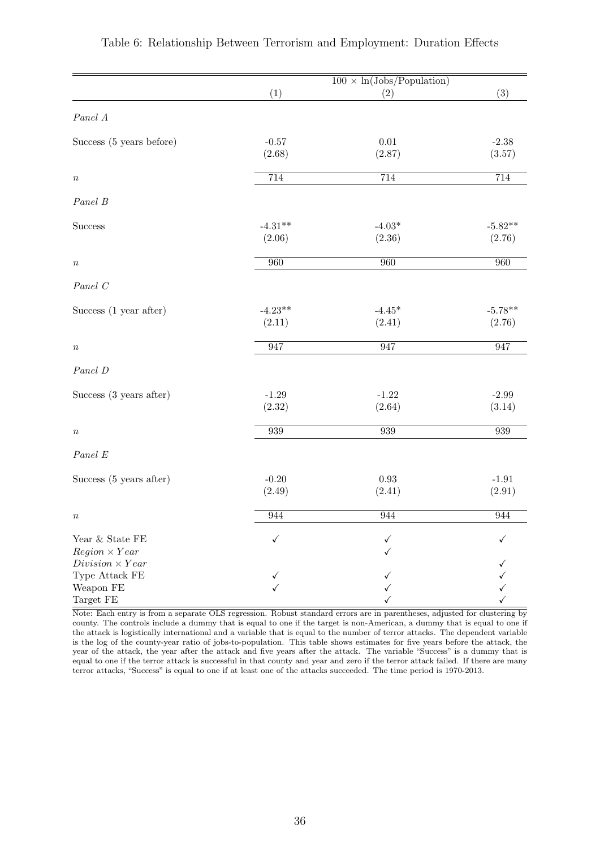|                                                |           | $100 \times \ln(\text{Jobs/Population})$ |           |
|------------------------------------------------|-----------|------------------------------------------|-----------|
|                                                | (1)       | (2)                                      | (3)       |
| Panel A                                        |           |                                          |           |
| Success (5 years before)                       | $-0.57$   | $0.01\,$                                 | $-2.38$   |
|                                                | (2.68)    | (2.87)                                   | (3.57)    |
| $\boldsymbol{n}$                               | 714       | 714                                      | 714       |
| Panel B                                        |           |                                          |           |
| <b>Success</b>                                 | $-4.31**$ | $-4.03*$                                 | $-5.82**$ |
|                                                | (2.06)    | (2.36)                                   | (2.76)    |
| $\boldsymbol{n}$                               | 960       | 960                                      | 960       |
| Panel C                                        |           |                                          |           |
| Success (1 year after)                         | $-4.23**$ | $-4.45*$                                 | $-5.78**$ |
|                                                | (2.11)    | (2.41)                                   | (2.76)    |
| $\it n$                                        | 947       | 947                                      | 947       |
| Panel D                                        |           |                                          |           |
| Success (3 years after)                        | $-1.29$   | $-1.22$                                  | $-2.99$   |
|                                                | (2.32)    | (2.64)                                   | (3.14)    |
| $\boldsymbol{n}$                               | 939       | 939                                      | 939       |
| $\operatorname*{Panel}\,E$                     |           |                                          |           |
| Success (5 years after)                        | $-0.20$   | $\rm 0.93$                               | $-1.91$   |
|                                                | (2.49)    | (2.41)                                   | (2.91)    |
| $\,n$                                          | 944       | 944                                      | 944       |
| Year & State FE                                | ✓         |                                          |           |
| $Region \times Year$<br>$Division \times Year$ |           |                                          |           |
| Type Attack FE                                 | ✓         |                                          |           |
| Weapon FE                                      | ✓         |                                          |           |
| Target FE                                      |           |                                          |           |

#### <span id="page-37-0"></span>Table 6: Relationship Between Terrorism and Employment: Duration Effects

Note: Each entry is from a separate OLS regression. Robust standard errors are in parentheses, adjusted for clustering by county. The controls include a dummy that is equal to one if the target is non-American, a dummy that is equal to one if the attack is logistically international and a variable that is equal to the number of terror attacks. The dependent variable is the log of the county-year ratio of jobs-to-population. This table shows estimates for five years before the attack, the year of the attack, the year after the attack and five years after the attack. The variable "Success" is a dummy that is equal to one if the terror attack is successful in that county and year and zero if the terror attack failed. If there are many terror attacks, "Success" is equal to one if at least one of the attacks succeeded. The time period is 1970-2013.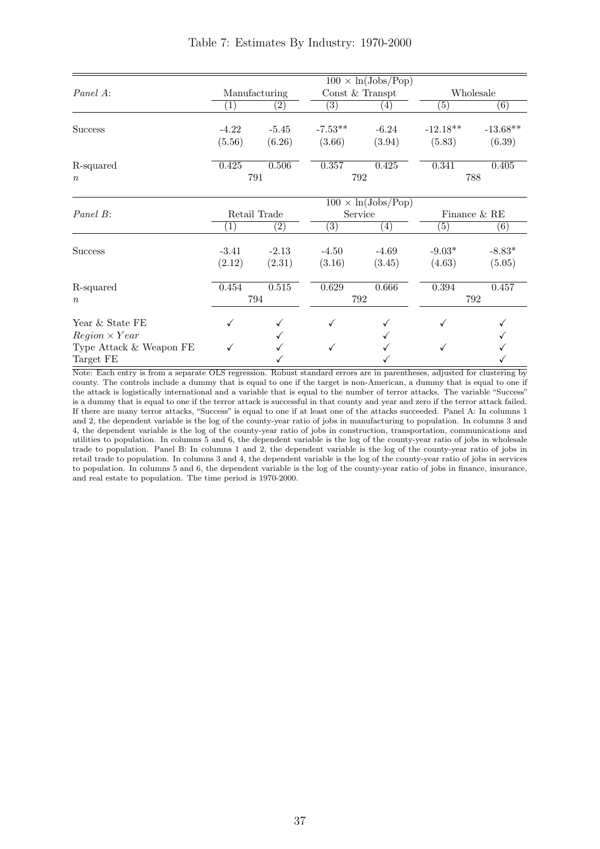<span id="page-38-0"></span>

|                         |                   |                   |                   | $100 \times \ln(\text{Jobs/Pop})$ |                   |                 |
|-------------------------|-------------------|-------------------|-------------------|-----------------------------------|-------------------|-----------------|
| Panel A:                |                   | Manufacturing     | Const $&$ Transpt |                                   |                   | Wholesale       |
|                         | $\left( 1\right)$ | $\left( 2\right)$ | (3)               | (4)                               | $\left( 5\right)$ | (6)             |
|                         |                   |                   |                   |                                   |                   |                 |
| <b>Success</b>          | $-4.22$           | $-5.45$           | $-7.53**$         | $-6.24$                           | $-12.18**$        | $-13.68**$      |
|                         | (5.56)            | (6.26)            | (3.66)            | (3.94)                            | (5.83)            | (6.39)          |
| R-squared               | 0.425             | 0.506             | 0.357             | 0.425                             | 0.341             | 0.405           |
| $\boldsymbol{n}$        |                   | 791               |                   | 792                               |                   | 788             |
|                         |                   |                   |                   | $100 \times \ln(\text{Jobs/Pop})$ |                   |                 |
| Panel B:                |                   | Retail Trade      |                   | Service                           |                   | Finance $\&$ RE |
|                         | $\left(1\right)$  | $\left( 2\right)$ | (3)               | $\left( 4\right)$                 | (5)               | (6)             |
| <b>Success</b>          | $-3.41$           | $-2.13$           | $-4.50$           | $-4.69$                           | $-9.03*$          | $-8.83*$        |
|                         | (2.12)            | (2.31)            | (3.16)            | (3.45)                            | (4.63)            | (5.05)          |
| R-squared               | 0.454             | 0.515             | 0.629             | 0.666                             | 0.394             | 0.457           |
| $\boldsymbol{n}$        |                   | 794               | 792               |                                   |                   | 792             |
| Year & State FE         | ✓                 |                   |                   |                                   |                   |                 |
| $Region \times Year$    |                   |                   |                   |                                   |                   |                 |
| Type Attack & Weapon FE |                   |                   |                   |                                   |                   |                 |
| Target FE               |                   |                   |                   |                                   |                   |                 |

Note: Each entry is from a separate OLS regression. Robust standard errors are in parentheses, adjusted for clustering by county. The controls include a dummy that is equal to one if the target is non-American, a dummy that is equal to one if the attack is logistically international and a variable that is equal to the number of terror attacks. The variable "Success" is a dummy that is equal to one if the terror attack is successful in that county and year and zero if the terror attack failed. If there are many terror attacks, "Success" is equal to one if at least one of the attacks succeeded. Panel A: In columns 1 and 2, the dependent variable is the log of the county-year ratio of jobs in manufacturing to population. In columns 3 and 4, the dependent variable is the log of the county-year ratio of jobs in construction, transportation, communications and utilities to population. In columns 5 and 6, the dependent variable is the log of the county-year ratio of jobs in wholesale trade to population. Panel B: In columns 1 and 2, the dependent variable is the log of the county-year ratio of jobs in retail trade to population. In columns 3 and 4, the dependent variable is the log of the county-year ratio of jobs in services to population. In columns 5 and 6, the dependent variable is the log of the county-year ratio of jobs in finance, insurance, and real estate to population. The time period is 1970-2000.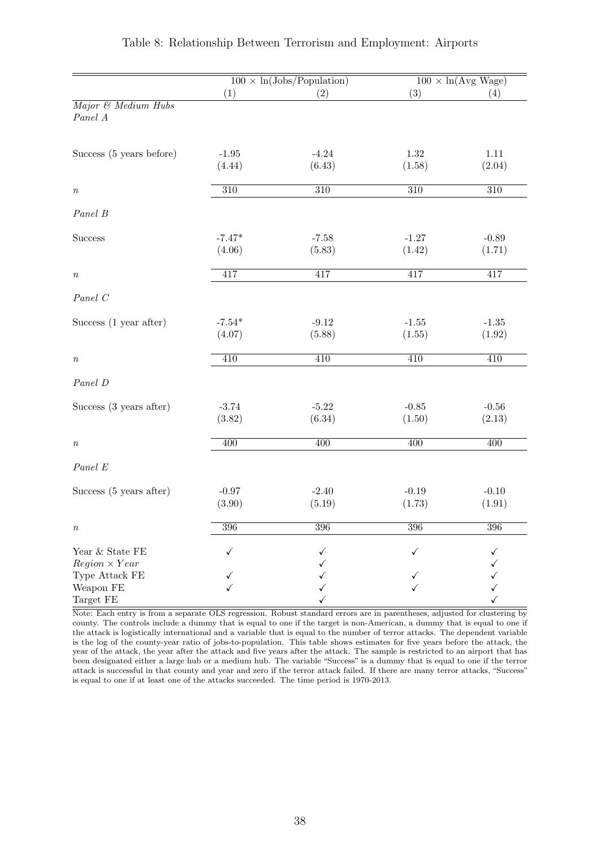<span id="page-39-0"></span>

|                                                           |                    | $100 \times \ln(\text{Jobs/Population})$ |                   | $100 \times \ln(\text{Avg Wage})$ |
|-----------------------------------------------------------|--------------------|------------------------------------------|-------------------|-----------------------------------|
|                                                           | (1)                | (2)                                      | (3)               | (4)                               |
| Major & Medium Hubs<br>Panel A                            |                    |                                          |                   |                                   |
| Success (5 years before)                                  | $-1.95$<br>(4.44)  | $-4.24$<br>(6.43)                        | 1.32<br>(1.58)    | 1.11<br>(2.04)                    |
| $\, n$                                                    | $\overline{310}$   | $\overline{310}$                         | $\overline{310}$  | $\overline{310}$                  |
| Panel B                                                   |                    |                                          |                   |                                   |
| <b>Success</b>                                            | $-7.47*$<br>(4.06) | $-7.58$<br>(5.83)                        | $-1.27$<br>(1.42) | $-0.89$<br>(1.71)                 |
| $\, n$                                                    | 417                | 417                                      | 417               | 417                               |
| Panel C                                                   |                    |                                          |                   |                                   |
| Success (1 year after)                                    | $-7.54*$<br>(4.07) | $-9.12$<br>(5.88)                        | $-1.55$<br>(1.55) | $-1.35$<br>(1.92)                 |
| $\it n$                                                   | 410                | 410                                      | 410               | 410                               |
| Panel D                                                   |                    |                                          |                   |                                   |
| Success (3 years after)                                   | $-3.74$<br>(3.82)  | $-5.22$<br>(6.34)                        | $-0.85$<br>(1.50) | $-0.56$<br>(2.13)                 |
| $\it n$                                                   | 400                | $\overline{400}$                         | $\overline{400}$  | $\overline{400}$                  |
| Panel E                                                   |                    |                                          |                   |                                   |
| Success (5 years after)                                   | $-0.97$<br>(3.90)  | $-2.40$<br>(5.19)                        | $-0.19$<br>(1.73) | $-0.10$<br>(1.91)                 |
| $\it{n}$                                                  | 396                | 396                                      | 396               | 396                               |
| Year & State FE<br>$Region \times Year$<br>Type Attack FE | ✓                  | ✓                                        | ✓                 | ✓                                 |
| Weapon FE<br>Target FE                                    |                    |                                          |                   |                                   |

#### Table 8: Relationship Between Terrorism and Employment: Airports

Note: Each entry is from a separate OLS regression. Robust standard errors are in parentheses, adjusted for clustering by county. The controls include a dummy that is equal to one if the target is non-American, a dummy that is equal to one if the attack is logistically international and a variable that is equal to the number of terror attacks. The dependent variable is the log of the county-year ratio of jobs-to-population. This table shows estimates for five years before the attack, the year of the attack, the year after the attack and five years after the attack. The sample is restricted to an airport that has been designated either a large hub or a medium hub. The variable "Success" is a dummy that is equal to one if the terror attack is successful in that county and year and zero if the terror attack failed. If there are many terror attacks, "Success" is equal to one if at least one of the attacks succeeded. The time period is 1970-2013.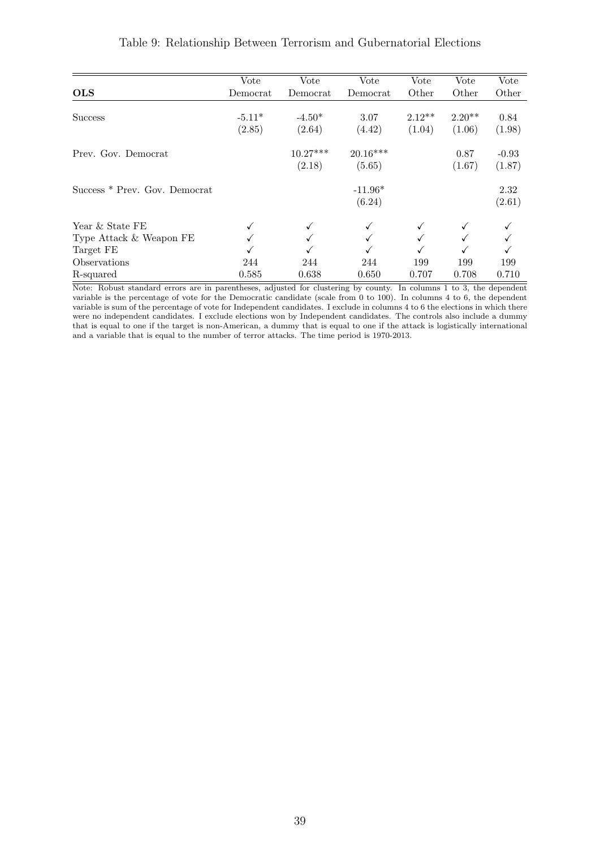<span id="page-40-0"></span>

|                               | Vote     | Vote       | Vote       | Vote     | Vote     | Vote    |
|-------------------------------|----------|------------|------------|----------|----------|---------|
| <b>OLS</b>                    | Democrat | Democrat   | Democrat   | Other    | Other    | Other   |
|                               |          |            |            |          |          |         |
| <b>Success</b>                | $-5.11*$ | $-4.50*$   | 3.07       | $2.12**$ | $2.20**$ | 0.84    |
|                               | (2.85)   | (2.64)     | (4.42)     | (1.04)   | (1.06)   | (1.98)  |
| Prev. Gov. Democrat           |          | $10.27***$ | $20.16***$ |          | 0.87     | $-0.93$ |
|                               |          | (2.18)     | (5.65)     |          | (1.67)   | (1.87)  |
| Success * Prev. Gov. Democrat |          |            | $-11.96*$  |          |          | 2.32    |
|                               |          |            | (6.24)     |          |          | (2.61)  |
| Year & State FE               |          |            | ✓          |          |          |         |
| Type Attack & Weapon FE       |          |            |            |          |          |         |
| Target FE                     |          |            |            |          |          |         |
| Observations                  | 244      | 244        | 244        | 199      | 199      | 199     |
| R-squared                     | 0.585    | 0.638      | 0.650      | 0.707    | 0.708    | 0.710   |

#### Table 9: Relationship Between Terrorism and Gubernatorial Elections

Note: Robust standard errors are in parentheses, adjusted for clustering by county. In columns 1 to 3, the dependent variable is the percentage of vote for the Democratic candidate (scale from 0 to 100). In columns 4 to 6, the dependent variable is sum of the percentage of vote for Independent candidates. I exclude in columns 4 to 6 the elections in which there were no independent candidates. I exclude elections won by Independent candidates. The controls also include a dummy that is equal to one if the target is non-American, a dummy that is equal to one if the attack is logistically international and a variable that is equal to the number of terror attacks. The time period is 1970-2013.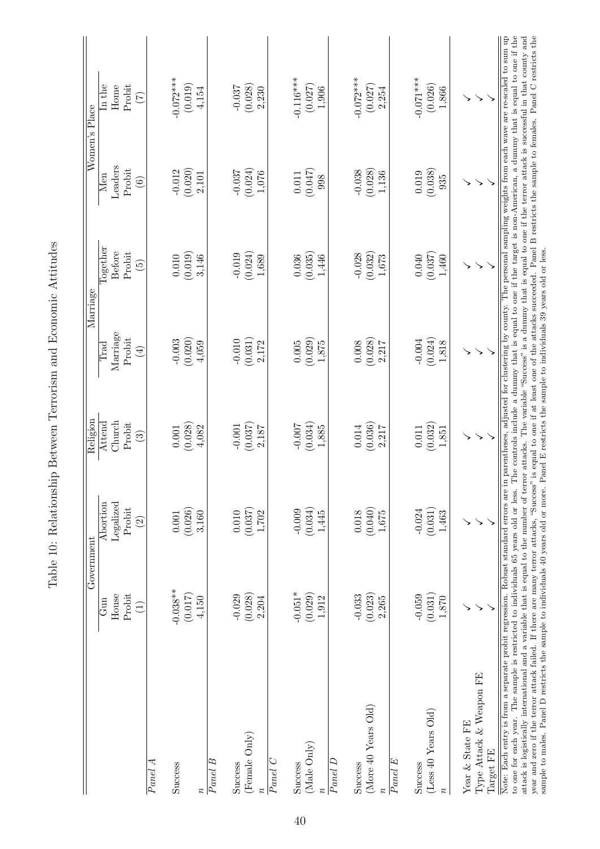<span id="page-41-0"></span>

|                                                                                                                                                                                                                                                                                                                                                                                                                                                                                                                                                                                                                                                                                                      |                 | Government    | Religion                  | Marriage                                                          |                 |            | Women's Place                                                                                                                                                                                                                                   |
|------------------------------------------------------------------------------------------------------------------------------------------------------------------------------------------------------------------------------------------------------------------------------------------------------------------------------------------------------------------------------------------------------------------------------------------------------------------------------------------------------------------------------------------------------------------------------------------------------------------------------------------------------------------------------------------------------|-----------------|---------------|---------------------------|-------------------------------------------------------------------|-----------------|------------|-------------------------------------------------------------------------------------------------------------------------------------------------------------------------------------------------------------------------------------------------|
|                                                                                                                                                                                                                                                                                                                                                                                                                                                                                                                                                                                                                                                                                                      | Gun             | Abortion      | Attend                    | Trad                                                              | Together        | Men        | $\ln$ the                                                                                                                                                                                                                                       |
|                                                                                                                                                                                                                                                                                                                                                                                                                                                                                                                                                                                                                                                                                                      | House           | Legalized     | Church                    | Marriage                                                          | Before          | Leaders    | Home                                                                                                                                                                                                                                            |
|                                                                                                                                                                                                                                                                                                                                                                                                                                                                                                                                                                                                                                                                                                      | Probit          | Probit        | Probit                    | Probit                                                            | Probit          | Probit     | Probit                                                                                                                                                                                                                                          |
|                                                                                                                                                                                                                                                                                                                                                                                                                                                                                                                                                                                                                                                                                                      | $\widehat{\Xi}$ | $\widehat{c}$ | $\widetilde{\mathcal{E}}$ | $\left( \frac{1}{2} \right)$                                      | $\widetilde{5}$ | $\odot$    | $(\zeta)$                                                                                                                                                                                                                                       |
| Panel A                                                                                                                                                                                                                                                                                                                                                                                                                                                                                                                                                                                                                                                                                              |                 |               |                           |                                                                   |                 |            |                                                                                                                                                                                                                                                 |
| Success                                                                                                                                                                                                                                                                                                                                                                                                                                                                                                                                                                                                                                                                                              | $-0.038**$      | 0.001         | 0.001                     | $-0.003$                                                          | 0.010           | $-0.012$   | $-0.072***$                                                                                                                                                                                                                                     |
|                                                                                                                                                                                                                                                                                                                                                                                                                                                                                                                                                                                                                                                                                                      | (0.017)         | (0.026)       | (0.028)                   | (0.020)                                                           | (0.019)         | (0.020)    | (0.019)                                                                                                                                                                                                                                         |
| $\boldsymbol{n}$                                                                                                                                                                                                                                                                                                                                                                                                                                                                                                                                                                                                                                                                                     | 4,150           | 3,160         | 4,082                     | 4,059                                                             | 3,146           | 2,101      | 4,154                                                                                                                                                                                                                                           |
| $Panel$ $B$                                                                                                                                                                                                                                                                                                                                                                                                                                                                                                                                                                                                                                                                                          |                 |               |                           |                                                                   |                 |            |                                                                                                                                                                                                                                                 |
| Success                                                                                                                                                                                                                                                                                                                                                                                                                                                                                                                                                                                                                                                                                              | $-0.029$        | $0.010\,$     | $-0.001$                  | $-0.010$                                                          | $-0.019$        | $-0.037$   | $-0.037$                                                                                                                                                                                                                                        |
| (Female Only)                                                                                                                                                                                                                                                                                                                                                                                                                                                                                                                                                                                                                                                                                        | (0.028)         | (0.037)       | (0.037)                   | (0.031)                                                           | (0.024)         | (0.024)    | (0.028)                                                                                                                                                                                                                                         |
|                                                                                                                                                                                                                                                                                                                                                                                                                                                                                                                                                                                                                                                                                                      | 2,204           | 1,702         | 2,187                     | 2,172                                                             | 1,689           | 1,076      | 2,230                                                                                                                                                                                                                                           |
| $Panel$ $C$                                                                                                                                                                                                                                                                                                                                                                                                                                                                                                                                                                                                                                                                                          |                 |               |                           |                                                                   |                 |            |                                                                                                                                                                                                                                                 |
| Success                                                                                                                                                                                                                                                                                                                                                                                                                                                                                                                                                                                                                                                                                              | $-0.051*$       | $-0.009$      | $-0.007$                  | $0.005\,$                                                         | 0.036           | 0.011      | $-0.116***$                                                                                                                                                                                                                                     |
| (Male Only)                                                                                                                                                                                                                                                                                                                                                                                                                                                                                                                                                                                                                                                                                          | (0.029)         | (0.034)       | (0.034)                   | (0.029)                                                           | (0.035)         | (0.047)    | (0.027)                                                                                                                                                                                                                                         |
|                                                                                                                                                                                                                                                                                                                                                                                                                                                                                                                                                                                                                                                                                                      | 1,912           | 1,445         | 1,885                     | 1,875                                                             | 1,446           | 998        | 1,906                                                                                                                                                                                                                                           |
| Panel D                                                                                                                                                                                                                                                                                                                                                                                                                                                                                                                                                                                                                                                                                              |                 |               |                           |                                                                   |                 |            |                                                                                                                                                                                                                                                 |
| Success                                                                                                                                                                                                                                                                                                                                                                                                                                                                                                                                                                                                                                                                                              | $-0.033$        | 0.018         | 0.014                     | 0.008                                                             | $-0.028$        | $-0.038$   | $-0.072***$                                                                                                                                                                                                                                     |
| (More 40 Years Old)                                                                                                                                                                                                                                                                                                                                                                                                                                                                                                                                                                                                                                                                                  | (0.023)         | (0.040)       | (0.036)                   | (0.028)                                                           | (0.032)         | (0.028)    | (0.027)                                                                                                                                                                                                                                         |
|                                                                                                                                                                                                                                                                                                                                                                                                                                                                                                                                                                                                                                                                                                      | 2,265           | 1,675         | 2,217                     | 2.217                                                             | 1,673           | 1,136      | 2,254                                                                                                                                                                                                                                           |
| Panel E                                                                                                                                                                                                                                                                                                                                                                                                                                                                                                                                                                                                                                                                                              |                 |               |                           |                                                                   |                 |            |                                                                                                                                                                                                                                                 |
| Success                                                                                                                                                                                                                                                                                                                                                                                                                                                                                                                                                                                                                                                                                              | $-0.059$        | $-0.024$      | 0.011                     | $-0.004$                                                          | 0.040           | 0.019      | $-0.071***$                                                                                                                                                                                                                                     |
| (Less 40 Years Old)                                                                                                                                                                                                                                                                                                                                                                                                                                                                                                                                                                                                                                                                                  | (0.031)         | (0.031)       | (0.032)                   | (0.024)                                                           | (0.037)         | (0.038)    | (0.026)                                                                                                                                                                                                                                         |
|                                                                                                                                                                                                                                                                                                                                                                                                                                                                                                                                                                                                                                                                                                      | $1,870$         | 1,463         | 1,851                     | 1,818                                                             | 1,460           | 935        | 1,866                                                                                                                                                                                                                                           |
| Year & State FE                                                                                                                                                                                                                                                                                                                                                                                                                                                                                                                                                                                                                                                                                      |                 |               | ↘                         | ↘                                                                 |                 | ↘          | ↘                                                                                                                                                                                                                                               |
| Type Attack & Weapon FE                                                                                                                                                                                                                                                                                                                                                                                                                                                                                                                                                                                                                                                                              |                 |               | $\searrow$                | ↘                                                                 |                 | $\searrow$ | $\searrow$                                                                                                                                                                                                                                      |
| Target FE                                                                                                                                                                                                                                                                                                                                                                                                                                                                                                                                                                                                                                                                                            |                 |               |                           |                                                                   |                 |            |                                                                                                                                                                                                                                                 |
| year and zero if the terror attack failed. If there are many terror attacks, "Success" is equal to one if at least one of the attacks succeeded. Panel B restricts the sample to females. Panel C restricts the<br>attack is logistically international and a variable that is equal to the number of terror attacks. The variable "Success" is a dummy that is equal to one if the terror attack is successful in that county and<br>Note: Each entry is from a separate probit regression. Robust standard errors are<br>to one for each year. The sample is restricted to individuals 65 years old or less.<br>sample to males. Panel D restricts the sample to individuals 40 years old or more. |                 |               |                           | Panel E restricts the sample to individuals 39 years old or less. |                 |            | in parentheses, adjusted for clustering by county. The personal sampling weights from each wave are re-scaled to sum up<br>The controls include a dummy that is equal to one if the target is non-American, a dummy that is equal to one if the |
|                                                                                                                                                                                                                                                                                                                                                                                                                                                                                                                                                                                                                                                                                                      |                 |               |                           |                                                                   |                 |            |                                                                                                                                                                                                                                                 |

Table 10: Relationship Between Terrorism and Economic Attitudes Table 10: Relationship Between Terrorism and Economic Attitudes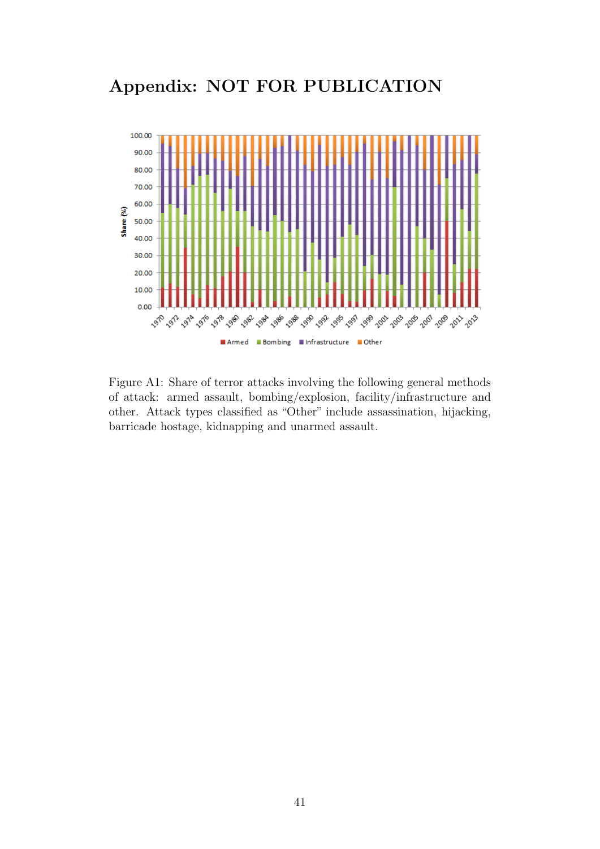# Appendix: NOT FOR PUBLICATION

<span id="page-42-0"></span>

Figure A1: Share of terror attacks involving the following general methods of attack: armed assault, bombing/explosion, facility/infrastructure and other. Attack types classified as "Other" include assassination, hijacking, barricade hostage, kidnapping and unarmed assault.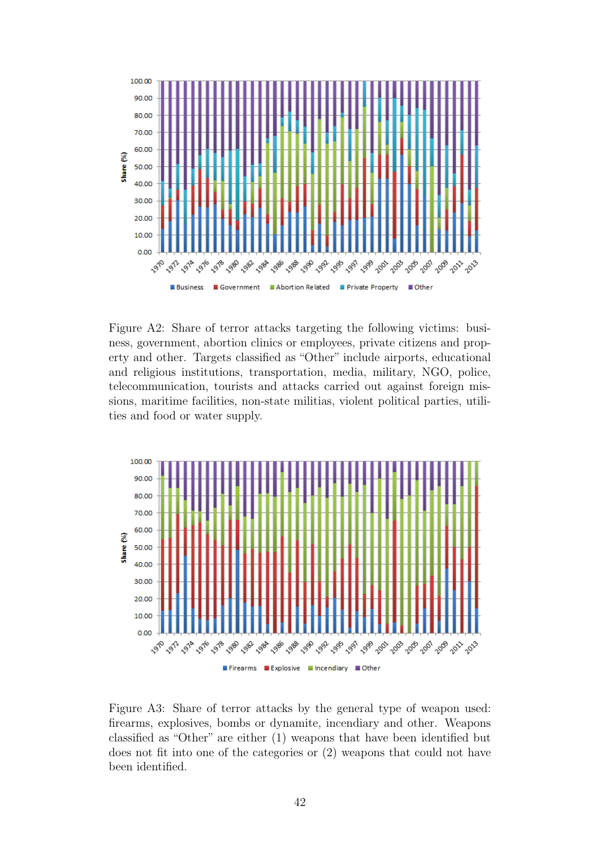<span id="page-43-0"></span>

Figure A2: Share of terror attacks targeting the following victims: business, government, abortion clinics or employees, private citizens and property and other. Targets classified as "Other" include airports, educational and religious institutions, transportation, media, military, NGO, police, telecommunication, tourists and attacks carried out against foreign missions, maritime facilities, non-state militias, violent political parties, utilities and food or water supply.

<span id="page-43-1"></span>

Figure A3: Share of terror attacks by the general type of weapon used: firearms, explosives, bombs or dynamite, incendiary and other. Weapons classified as "Other" are either (1) weapons that have been identified but does not fit into one of the categories or (2) weapons that could not have been identified.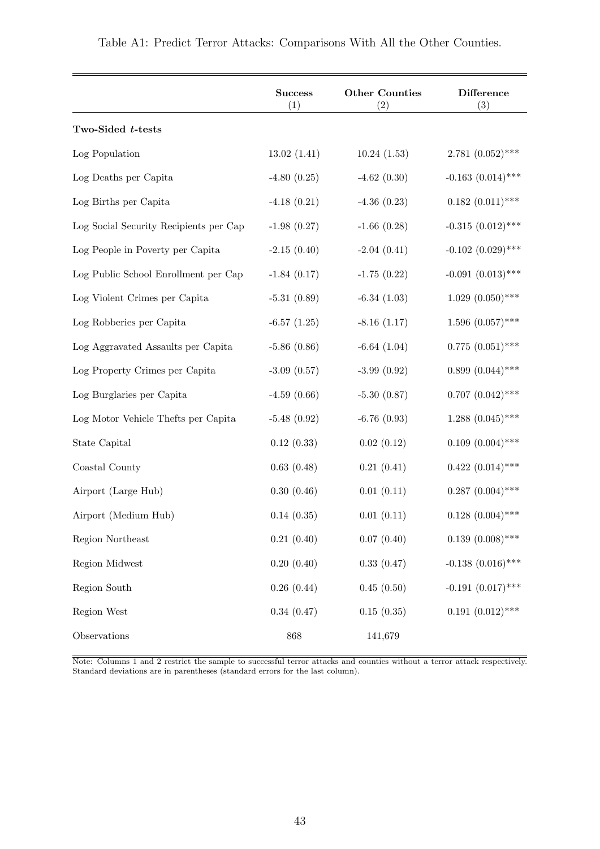<span id="page-44-0"></span>

|                                        | <b>Success</b><br>(1) | <b>Other Counties</b><br>(2) | <b>Difference</b><br>(3) |
|----------------------------------------|-----------------------|------------------------------|--------------------------|
| Two-Sided t-tests                      |                       |                              |                          |
| Log Population                         | 13.02(1.41)           | 10.24(1.53)                  | $2.781~(0.052)$ ***      |
| Log Deaths per Capita                  | $-4.80(0.25)$         | $-4.62(0.30)$                | $-0.163$ $(0.014)$ ***   |
| Log Births per Capita                  | $-4.18(0.21)$         | $-4.36(0.23)$                | $0.182~(0.011)$ ***      |
| Log Social Security Recipients per Cap | $-1.98(0.27)$         | $-1.66(0.28)$                | $-0.315$ $(0.012)$ ***   |
| Log People in Poverty per Capita       | $-2.15(0.40)$         | $-2.04(0.41)$                | $-0.102$ $(0.029)$ ***   |
| Log Public School Enrollment per Cap   | $-1.84(0.17)$         | $-1.75(0.22)$                | $-0.091(0.013)$ ***      |
| Log Violent Crimes per Capita          | $-5.31(0.89)$         | $-6.34(1.03)$                | $1.029(0.050)$ ***       |
| Log Robberies per Capita               | $-6.57(1.25)$         | $-8.16(1.17)$                | $1.596(0.057)$ ***       |
| Log Aggravated Assaults per Capita     | $-5.86(0.86)$         | $-6.64(1.04)$                | $0.775(0.051)$ ***       |
| Log Property Crimes per Capita         | $-3.09$ $(0.57)$      | $-3.99(0.92)$                | $0.899(0.044)$ ***       |
| Log Burglaries per Capita              | $-4.59(0.66)$         | $-5.30(0.87)$                | $0.707~(0.042)$ ***      |
| Log Motor Vehicle Thefts per Capita    | $-5.48(0.92)$         | $-6.76(0.93)$                | $1.288~(0.045)$ ***      |
| State Capital                          | 0.12(0.33)            | 0.02(0.12)                   | $0.109(0.004)$ ***       |
| Coastal County                         | 0.63(0.48)            | 0.21(0.41)                   | $0.422~(0.014)$ ***      |
| Airport (Large Hub)                    | 0.30(0.46)            | 0.01(0.11)                   | $0.287(0.004)$ ***       |
| Airport (Medium Hub)                   | 0.14(0.35)            | 0.01(0.11)                   | $0.128$ $(0.004)$ ***    |
| Region Northeast                       | 0.21(0.40)            | 0.07(0.40)                   | $0.139(0.008)$ ***       |
| Region Midwest                         | 0.20(0.40)            | 0.33(0.47)                   | $-0.138$ $(0.016)$ ***   |
| Region South                           | 0.26(0.44)            | 0.45(0.50)                   | $-0.191$ $(0.017)$ ***   |
| Region West                            | 0.34(0.47)            | 0.15(0.35)                   | $0.191~(0.012)$ ***      |
| Observations                           | 868                   | 141,679                      |                          |

Note: Columns 1 and 2 restrict the sample to successful terror attacks and counties without a terror attack respectively. Standard deviations are in parentheses (standard errors for the last column).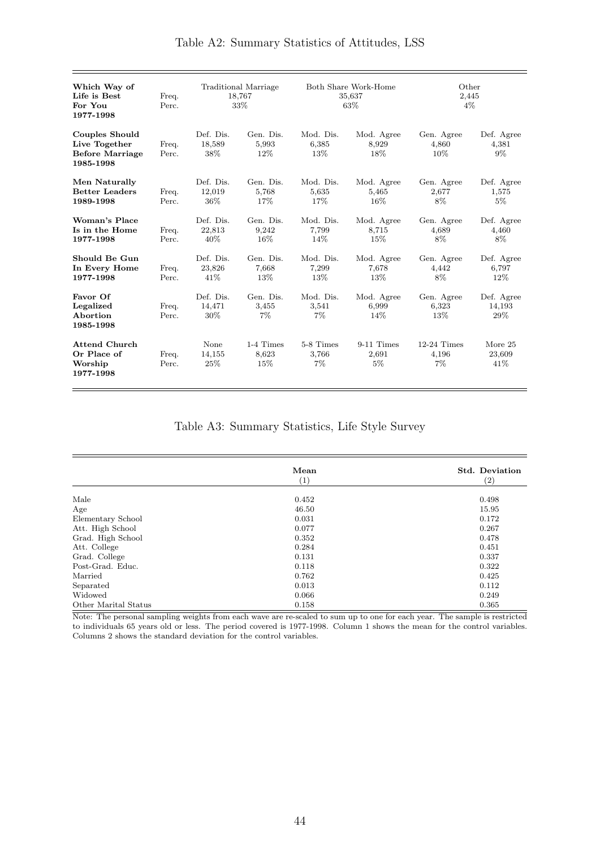<span id="page-45-0"></span>

| Which Way of<br>Life is Best<br>For You<br>1977-1998                          | Freq.<br>Perc. |                               | Traditional Marriage<br>18,767<br>33% | Both Share Work-Home<br>35,637<br>63\% |                                | Other<br>2,445<br>$4\%$         |                              |
|-------------------------------------------------------------------------------|----------------|-------------------------------|---------------------------------------|----------------------------------------|--------------------------------|---------------------------------|------------------------------|
| <b>Couples Should</b><br>Live Together<br><b>Before Marriage</b><br>1985-1998 | Freq.<br>Perc. | Def. Dis.<br>18,589<br>38\%   | Gen. Dis.<br>5,993<br>12%             | Mod. Dis.<br>6,385<br>13%              | Mod. Agree<br>8,929<br>18%     | Gen. Agree<br>4,860<br>$10\%$   | Def. Agree<br>4,381<br>$9\%$ |
| Men Naturally<br><b>Better Leaders</b><br>1989-1998                           | Freq.<br>Perc. | Def. Dis.<br>12,019<br>36\%   | Gen. Dis.<br>5,768<br>17%             | Mod. Dis.<br>5,635<br>17%              | Mod. Agree<br>5,465<br>$16\%$  | Gen. Agree<br>2,677<br>8%       | Def. Agree<br>1,575<br>$5\%$ |
| Woman's Place<br>Is in the Home<br>1977-1998                                  | Freq.<br>Perc. | Def. Dis.<br>22,813<br>$40\%$ | Gen. Dis.<br>9,242<br>16%             | Mod. Dis.<br>7,799<br>14\%             | Mod. Agree<br>8,715<br>$15\%$  | Gen. Agree<br>4,689<br>8%       | Def. Agree<br>4,460<br>8%    |
| Should Be Gun<br>In Every Home<br>1977-1998                                   | Freq.<br>Perc. | Def. Dis.<br>23,826<br>41%    | Gen. Dis.<br>7,668<br>13%             | Mod. Dis.<br>7,299<br>13%              | Mod. Agree<br>7,678<br>13%     | Gen. Agree<br>4,442<br>8%       | Def. Agree<br>6,797<br>12\%  |
| Favor Of<br>Legalized<br>Abortion<br>1985-1998                                | Freq.<br>Perc. | Def. Dis.<br>14,471<br>$30\%$ | Gen. Dis.<br>3,455<br>$7\%$           | Mod. Dis.<br>3,541<br>$7\%$            | Mod. Agree<br>6,999<br>14\%    | Gen. Agree<br>6,323<br>13%      | Def. Agree<br>14,193<br>29%  |
| <b>Attend Church</b><br>Or Place of<br>Worship<br>1977-1998                   | Freq.<br>Perc. | None<br>14,155<br>25\%        | 1-4 Times<br>8,623<br>15%             | 5-8 Times<br>3,766<br>$7\%$            | $9-11$ Times<br>2,691<br>$5\%$ | $12-24$ Times<br>4,196<br>$7\%$ | More 25<br>23,609<br>41\%    |

Table A3: Summary Statistics, Life Style Survey

|                      | Mean  | <b>Std. Deviation</b> |
|----------------------|-------|-----------------------|
|                      | (1)   | $\left( 2\right)$     |
| Male                 |       | 0.498                 |
|                      | 0.452 |                       |
| Age                  | 46.50 | 15.95                 |
| Elementary School    | 0.031 | 0.172                 |
| Att. High School     | 0.077 | 0.267                 |
| Grad. High School    | 0.352 | 0.478                 |
| Att. College         | 0.284 | 0.451                 |
| Grad. College        | 0.131 | 0.337                 |
| Post-Grad. Educ.     | 0.118 | 0.322                 |
| Married              | 0.762 | 0.425                 |
| Separated            | 0.013 | 0.112                 |
| Widowed              | 0.066 | 0.249                 |
| Other Marital Status | 0.158 | 0.365                 |

Note: The personal sampling weights from each wave are re-scaled to sum up to one for each year. The sample is restricted to individuals 65 years old or less. The period covered is 1977-1998. Column 1 shows the mean for the control variables. Columns 2 shows the standard deviation for the control variables.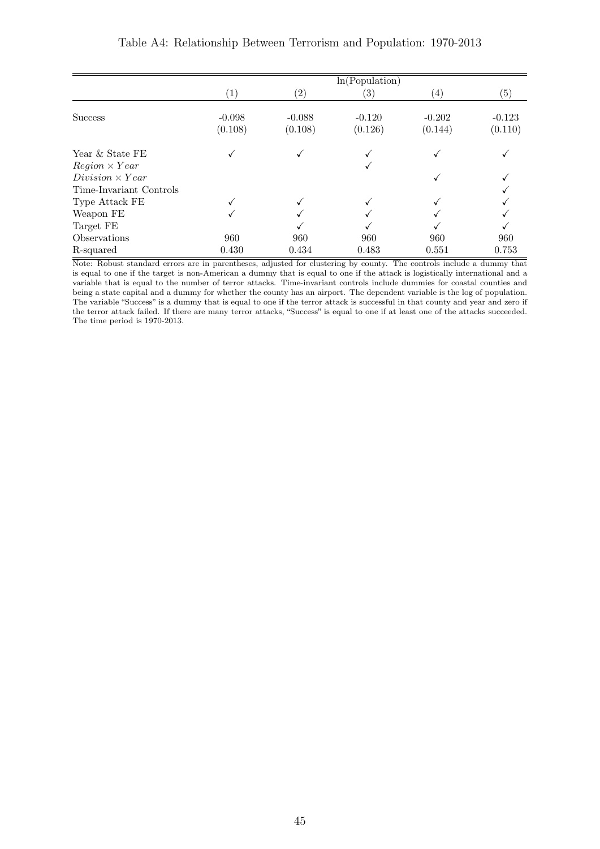<span id="page-46-0"></span>

|                                         | ln(Population)      |                     |                     |                     |                     |
|-----------------------------------------|---------------------|---------------------|---------------------|---------------------|---------------------|
|                                         | $\left( 1\right)$   | $\left( 2\right)$   | $\left( 3\right)$   | $\left( 4\right)$   | (5)                 |
| <b>Success</b>                          | $-0.098$<br>(0.108) | $-0.088$<br>(0.108) | $-0.120$<br>(0.126) | $-0.202$<br>(0.144) | $-0.123$<br>(0.110) |
| Year & State FE<br>$Region \times Year$ |                     |                     |                     |                     |                     |
| $Division \times Year$                  |                     |                     |                     |                     |                     |
| Time-Invariant Controls                 |                     |                     |                     |                     |                     |
| Type Attack FE                          |                     |                     |                     |                     |                     |
| Weapon FE                               |                     |                     |                     |                     |                     |
| Target FE                               |                     |                     |                     |                     |                     |
| Observations                            | 960                 | 960                 | 960                 | 960                 | 960                 |
| R-squared                               | 0.430               | 0.434               | 0.483               | 0.551               | 0.753               |

#### Table A4: Relationship Between Terrorism and Population: 1970-2013

Note: Robust standard errors are in parentheses, adjusted for clustering by county. The controls include a dummy that is equal to one if the target is non-American a dummy that is equal to one if the attack is logistically international and a variable that is equal to the number of terror attacks. Time-invariant controls include dummies for coastal counties and being a state capital and a dummy for whether the county has an airport. The dependent variable is the log of population. The variable "Success" is a dummy that is equal to one if the terror attack is successful in that county and year and zero if the terror attack failed. If there are many terror attacks, "Success" is equal to one if at least one of the attacks succeeded. The time period is 1970-2013.